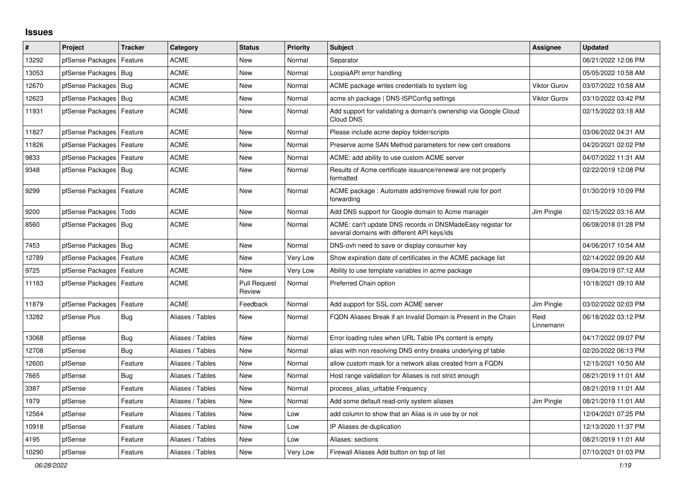## **Issues**

| #     | Project                    | <b>Tracker</b> | Category         | <b>Status</b>                 | <b>Priority</b> | <b>Subject</b>                                                                                            | Assignee            | <b>Updated</b>      |
|-------|----------------------------|----------------|------------------|-------------------------------|-----------------|-----------------------------------------------------------------------------------------------------------|---------------------|---------------------|
| 13292 | pfSense Packages           | Feature        | <b>ACME</b>      | <b>New</b>                    | Normal          | Separator                                                                                                 |                     | 06/21/2022 12:06 PM |
| 13053 | pfSense Packages           | Bug            | <b>ACME</b>      | <b>New</b>                    | Normal          | LoopiaAPI error handling                                                                                  |                     | 05/05/2022 10:58 AM |
| 12670 | pfSense Packages           | Bug            | <b>ACME</b>      | New                           | Normal          | ACME package writes credentials to system log                                                             | <b>Viktor Gurov</b> | 03/07/2022 10:58 AM |
| 12623 | pfSense Packages           | Bug            | ACME             | New                           | Normal          | acme.sh package   DNS-ISPConfig settings                                                                  | <b>Viktor Gurov</b> | 03/10/2022 03:42 PM |
| 11931 | pfSense Packages           | Feature        | <b>ACME</b>      | <b>New</b>                    | Normal          | Add support for validating a domain's ownership via Google Cloud<br>Cloud DNS                             |                     | 02/15/2022 03:18 AM |
| 11827 | pfSense Packages           | Feature        | <b>ACME</b>      | <b>New</b>                    | Normal          | Please include acme deploy folder/scripts                                                                 |                     | 03/06/2022 04:31 AM |
| 11826 | pfSense Packages           | Feature        | <b>ACME</b>      | <b>New</b>                    | Normal          | Preserve acme SAN Method parameters for new cert creations                                                |                     | 04/20/2021 02:02 PM |
| 9833  | pfSense Packages           | Feature        | <b>ACME</b>      | <b>New</b>                    | Normal          | ACME: add ability to use custom ACME server                                                               |                     | 04/07/2022 11:31 AM |
| 9348  | pfSense Packages   Bug     |                | ACME             | New                           | Normal          | Results of Acme certificate issuance/renewal are not properly<br>formatted                                |                     | 02/22/2019 12:08 PM |
| 9299  | pfSense Packages   Feature |                | <b>ACME</b>      | <b>New</b>                    | Normal          | ACME package : Automate add/remove firewall rule for port<br>forwarding                                   |                     | 01/30/2019 10:09 PM |
| 9200  | pfSense Packages           | Todo           | <b>ACME</b>      | <b>New</b>                    | Normal          | Add DNS support for Google domain to Acme manager                                                         | Jim Pingle          | 02/15/2022 03:16 AM |
| 8560  | pfSense Packages   Bug     |                | <b>ACME</b>      | New                           | Normal          | ACME: can't update DNS records in DNSMadeEasy registar for<br>several domains with different API keys/ids |                     | 06/08/2018 01:28 PM |
| 7453  | pfSense Packages   Bug     |                | <b>ACME</b>      | <b>New</b>                    | Normal          | DNS-ovh need to save or display consumer key                                                              |                     | 04/06/2017 10:54 AM |
| 12789 | pfSense Packages   Feature |                | <b>ACME</b>      | New                           | Very Low        | Show expiration date of certificates in the ACME package list                                             |                     | 02/14/2022 09:20 AM |
| 9725  | pfSense Packages           | Feature        | ACME             | New                           | Very Low        | Ability to use template variables in acme package                                                         |                     | 09/04/2019 07:12 AM |
| 11163 | pfSense Packages           | Feature        | <b>ACME</b>      | <b>Pull Request</b><br>Review | Normal          | Preferred Chain option                                                                                    |                     | 10/18/2021 09:10 AM |
| 11879 | pfSense Packages           | Feature        | <b>ACME</b>      | Feedback                      | Normal          | Add support for SSL.com ACME server                                                                       | Jim Pingle          | 03/02/2022 02:03 PM |
| 13282 | pfSense Plus               | <b>Bug</b>     | Aliases / Tables | <b>New</b>                    | Normal          | FQDN Aliases Break if an Invalid Domain is Present in the Chain                                           | Reid<br>Linnemann   | 06/18/2022 03:12 PM |
| 13068 | pfSense                    | Bug            | Aliases / Tables | <b>New</b>                    | Normal          | Error loading rules when URL Table IPs content is empty                                                   |                     | 04/17/2022 09:07 PM |
| 12708 | pfSense                    | <b>Bug</b>     | Aliases / Tables | <b>New</b>                    | Normal          | alias with non resolving DNS entry breaks underlying pf table                                             |                     | 02/20/2022 06:13 PM |
| 12600 | pfSense                    | Feature        | Aliases / Tables | <b>New</b>                    | Normal          | allow custom mask for a network alias created from a FQDN                                                 |                     | 12/15/2021 10:50 AM |
| 7665  | pfSense                    | <b>Bug</b>     | Aliases / Tables | <b>New</b>                    | Normal          | Host range validation for Aliases is not strict enough                                                    |                     | 08/21/2019 11:01 AM |
| 3387  | pfSense                    | Feature        | Aliases / Tables | <b>New</b>                    | Normal          | process_alias_urItable Frequency                                                                          |                     | 08/21/2019 11:01 AM |
| 1979  | pfSense                    | Feature        | Aliases / Tables | New                           | Normal          | Add some default read-only system aliases                                                                 | Jim Pingle          | 08/21/2019 11:01 AM |
| 12564 | pfSense                    | Feature        | Aliases / Tables | <b>New</b>                    | Low             | add column to show that an Alias is in use by or not                                                      |                     | 12/04/2021 07:25 PM |
| 10918 | pfSense                    | Feature        | Aliases / Tables | <b>New</b>                    | Low             | IP Aliases de-duplication                                                                                 |                     | 12/13/2020 11:37 PM |
| 4195  | pfSense                    | Feature        | Aliases / Tables | <b>New</b>                    | Low             | Aliases: sections                                                                                         |                     | 08/21/2019 11:01 AM |
| 10290 | pfSense                    | Feature        | Aliases / Tables | <b>New</b>                    | Very Low        | Firewall Aliases Add button on top of list                                                                |                     | 07/10/2021 01:03 PM |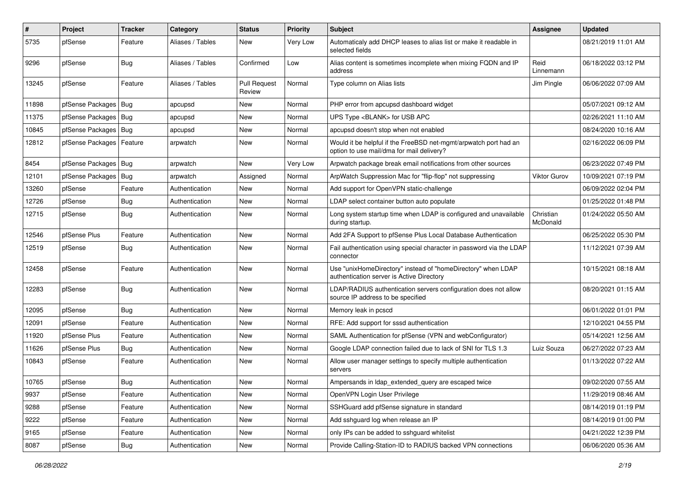| $\pmb{\#}$ | Project                    | <b>Tracker</b> | Category         | <b>Status</b>                 | <b>Priority</b> | <b>Subject</b>                                                                                                | Assignee              | <b>Updated</b>      |
|------------|----------------------------|----------------|------------------|-------------------------------|-----------------|---------------------------------------------------------------------------------------------------------------|-----------------------|---------------------|
| 5735       | pfSense                    | Feature        | Aliases / Tables | New                           | Very Low        | Automaticaly add DHCP leases to alias list or make it readable in<br>selected fields                          |                       | 08/21/2019 11:01 AM |
| 9296       | pfSense                    | <b>Bug</b>     | Aliases / Tables | Confirmed                     | Low             | Alias content is sometimes incomplete when mixing FQDN and IP<br>address                                      | Reid<br>Linnemann     | 06/18/2022 03:12 PM |
| 13245      | pfSense                    | Feature        | Aliases / Tables | <b>Pull Request</b><br>Review | Normal          | Type column on Alias lists                                                                                    | Jim Pingle            | 06/06/2022 07:09 AM |
| 11898      | pfSense Packages   Bug     |                | apcupsd          | New                           | Normal          | PHP error from apcupsd dashboard widget                                                                       |                       | 05/07/2021 09:12 AM |
| 11375      | pfSense Packages           | Bug            | apcupsd          | New                           | Normal          | UPS Type <blank> for USB APC</blank>                                                                          |                       | 02/26/2021 11:10 AM |
| 10845      | pfSense Packages   Bug     |                | apcupsd          | New                           | Normal          | apcupsd doesn't stop when not enabled                                                                         |                       | 08/24/2020 10:16 AM |
| 12812      | pfSense Packages   Feature |                | arpwatch         | New                           | Normal          | Would it be helpful if the FreeBSD net-mgmt/arpwatch port had an<br>option to use mail/dma for mail delivery? |                       | 02/16/2022 06:09 PM |
| 8454       | pfSense Packages   Bug     |                | arpwatch         | New                           | Very Low        | Arpwatch package break email notifications from other sources                                                 |                       | 06/23/2022 07:49 PM |
| 12101      | pfSense Packages           | Bug            | arpwatch         | Assigned                      | Normal          | ArpWatch Suppression Mac for "flip-flop" not suppressing                                                      | Viktor Gurov          | 10/09/2021 07:19 PM |
| 13260      | pfSense                    | Feature        | Authentication   | New                           | Normal          | Add support for OpenVPN static-challenge                                                                      |                       | 06/09/2022 02:04 PM |
| 12726      | pfSense                    | <b>Bug</b>     | Authentication   | New                           | Normal          | LDAP select container button auto populate                                                                    |                       | 01/25/2022 01:48 PM |
| 12715      | pfSense                    | Bug            | Authentication   | New                           | Normal          | Long system startup time when LDAP is configured and unavailable<br>during startup.                           | Christian<br>McDonald | 01/24/2022 05:50 AM |
| 12546      | pfSense Plus               | Feature        | Authentication   | <b>New</b>                    | Normal          | Add 2FA Support to pfSense Plus Local Database Authentication                                                 |                       | 06/25/2022 05:30 PM |
| 12519      | pfSense                    | Bug            | Authentication   | New                           | Normal          | Fail authentication using special character in password via the LDAP<br>connector                             |                       | 11/12/2021 07:39 AM |
| 12458      | pfSense                    | Feature        | Authentication   | New                           | Normal          | Use "unixHomeDirectory" instead of "homeDirectory" when LDAP<br>authentication server is Active Directory     |                       | 10/15/2021 08:18 AM |
| 12283      | pfSense                    | Bug            | Authentication   | New                           | Normal          | LDAP/RADIUS authentication servers configuration does not allow<br>source IP address to be specified          |                       | 08/20/2021 01:15 AM |
| 12095      | pfSense                    | <b>Bug</b>     | Authentication   | New                           | Normal          | Memory leak in pcscd                                                                                          |                       | 06/01/2022 01:01 PM |
| 12091      | pfSense                    | Feature        | Authentication   | New                           | Normal          | RFE: Add support for sssd authentication                                                                      |                       | 12/10/2021 04:55 PM |
| 11920      | pfSense Plus               | Feature        | Authentication   | New                           | Normal          | SAML Authentication for pfSense (VPN and webConfigurator)                                                     |                       | 05/14/2021 12:56 AM |
| 11626      | pfSense Plus               | <b>Bug</b>     | Authentication   | New                           | Normal          | Google LDAP connection failed due to lack of SNI for TLS 1.3                                                  | Luiz Souza            | 06/27/2022 07:23 AM |
| 10843      | pfSense                    | Feature        | Authentication   | New                           | Normal          | Allow user manager settings to specify multiple authentication<br>servers                                     |                       | 01/13/2022 07:22 AM |
| 10765      | pfSense                    | Bug            | Authentication   | New                           | Normal          | Ampersands in Idap extended query are escaped twice                                                           |                       | 09/02/2020 07:55 AM |
| 9937       | pfSense                    | Feature        | Authentication   | New                           | Normal          | OpenVPN Login User Privilege                                                                                  |                       | 11/29/2019 08:46 AM |
| 9288       | pfSense                    | Feature        | Authentication   | New                           | Normal          | SSHGuard add pfSense signature in standard                                                                    |                       | 08/14/2019 01:19 PM |
| 9222       | pfSense                    | Feature        | Authentication   | New                           | Normal          | Add sshguard log when release an IP                                                                           |                       | 08/14/2019 01:00 PM |
| 9165       | pfSense                    | Feature        | Authentication   | New                           | Normal          | only IPs can be added to sshguard whitelist                                                                   |                       | 04/21/2022 12:39 PM |
| 8087       | pfSense                    | <b>Bug</b>     | Authentication   | New                           | Normal          | Provide Calling-Station-ID to RADIUS backed VPN connections                                                   |                       | 06/06/2020 05:36 AM |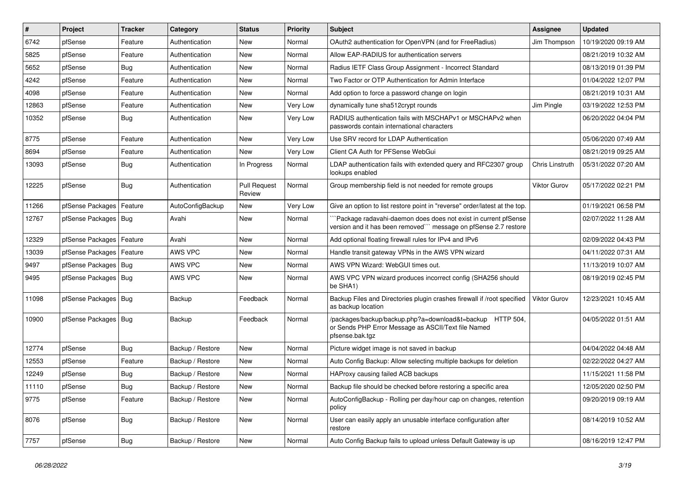| $\vert$ # | Project                | <b>Tracker</b> | Category         | <b>Status</b>                 | <b>Priority</b> | <b>Subject</b>                                                                                                                      | Assignee            | <b>Updated</b>      |
|-----------|------------------------|----------------|------------------|-------------------------------|-----------------|-------------------------------------------------------------------------------------------------------------------------------------|---------------------|---------------------|
| 6742      | pfSense                | Feature        | Authentication   | New                           | Normal          | OAuth2 authentication for OpenVPN (and for FreeRadius)                                                                              | Jim Thompson        | 10/19/2020 09:19 AM |
| 5825      | pfSense                | Feature        | Authentication   | New                           | Normal          | Allow EAP-RADIUS for authentication servers                                                                                         |                     | 08/21/2019 10:32 AM |
| 5652      | pfSense                | <b>Bug</b>     | Authentication   | New                           | Normal          | Radius IETF Class Group Assignment - Incorrect Standard                                                                             |                     | 08/13/2019 01:39 PM |
| 4242      | pfSense                | Feature        | Authentication   | New                           | Normal          | Two Factor or OTP Authentication for Admin Interface                                                                                |                     | 01/04/2022 12:07 PM |
| 4098      | pfSense                | Feature        | Authentication   | New                           | Normal          | Add option to force a password change on login                                                                                      |                     | 08/21/2019 10:31 AM |
| 12863     | pfSense                | Feature        | Authentication   | New                           | <b>Very Low</b> | dynamically tune sha512crypt rounds                                                                                                 | Jim Pingle          | 03/19/2022 12:53 PM |
| 10352     | pfSense                | Bug            | Authentication   | New                           | Very Low        | RADIUS authentication fails with MSCHAPv1 or MSCHAPv2 when<br>passwords contain international characters                            |                     | 06/20/2022 04:04 PM |
| 8775      | pfSense                | Feature        | Authentication   | <b>New</b>                    | Very Low        | Use SRV record for LDAP Authentication                                                                                              |                     | 05/06/2020 07:49 AM |
| 8694      | pfSense                | Feature        | Authentication   | <b>New</b>                    | Very Low        | Client CA Auth for PFSense WebGui                                                                                                   |                     | 08/21/2019 09:25 AM |
| 13093     | pfSense                | Bug            | Authentication   | In Progress                   | Normal          | LDAP authentication fails with extended query and RFC2307 group<br>lookups enabled                                                  | Chris Linstruth     | 05/31/2022 07:20 AM |
| 12225     | pfSense                | Bug            | Authentication   | <b>Pull Request</b><br>Review | Normal          | Group membership field is not needed for remote groups                                                                              | <b>Viktor Gurov</b> | 05/17/2022 02:21 PM |
| 11266     | pfSense Packages       | Feature        | AutoConfigBackup | New                           | <b>Very Low</b> | Give an option to list restore point in "reverse" order/latest at the top.                                                          |                     | 01/19/2021 06:58 PM |
| 12767     | pfSense Packages       | Bug            | Avahi            | New                           | Normal          | `Package radavahi-daemon does does not exist in current pfSense<br>version and it has been removed"" message on pfSense 2.7 restore |                     | 02/07/2022 11:28 AM |
| 12329     | pfSense Packages       | Feature        | Avahi            | <b>New</b>                    | Normal          | Add optional floating firewall rules for IPv4 and IPv6                                                                              |                     | 02/09/2022 04:43 PM |
| 13039     | pfSense Packages       | Feature        | AWS VPC          | New                           | Normal          | Handle transit gateway VPNs in the AWS VPN wizard                                                                                   |                     | 04/11/2022 07:31 AM |
| 9497      | pfSense Packages       | Bug            | AWS VPC          | New                           | Normal          | AWS VPN Wizard: WebGUI times out.                                                                                                   |                     | 11/13/2019 10:07 AM |
| 9495      | pfSense Packages   Bug |                | AWS VPC          | <b>New</b>                    | Normal          | AWS VPC VPN wizard produces incorrect config (SHA256 should<br>be SHA1)                                                             |                     | 08/19/2019 02:45 PM |
| 11098     | pfSense Packages   Bug |                | Backup           | Feedback                      | Normal          | Backup Files and Directories plugin crashes firewall if /root specified<br>as backup location                                       | <b>Viktor Gurov</b> | 12/23/2021 10:45 AM |
| 10900     | pfSense Packages   Bug |                | Backup           | Feedback                      | Normal          | /packages/backup/backup.php?a=download&t=backup HTTP 504,<br>or Sends PHP Error Message as ASCII/Text file Named<br>pfsense.bak.tgz |                     | 04/05/2022 01:51 AM |
| 12774     | pfSense                | Bug            | Backup / Restore | New                           | Normal          | Picture widget image is not saved in backup                                                                                         |                     | 04/04/2022 04:48 AM |
| 12553     | pfSense                | Feature        | Backup / Restore | <b>New</b>                    | Normal          | Auto Config Backup: Allow selecting multiple backups for deletion                                                                   |                     | 02/22/2022 04:27 AM |
| 12249     | pfSense                | <b>Bug</b>     | Backup / Restore | New                           | Normal          | HAProxy causing failed ACB backups                                                                                                  |                     | 11/15/2021 11:58 PM |
| 11110     | pfSense                | <b>Bug</b>     | Backup / Restore | New                           | Normal          | Backup file should be checked before restoring a specific area                                                                      |                     | 12/05/2020 02:50 PM |
| 9775      | pfSense                | Feature        | Backup / Restore | New                           | Normal          | AutoConfigBackup - Rolling per day/hour cap on changes, retention<br>policy                                                         |                     | 09/20/2019 09:19 AM |
| 8076      | pfSense                | Bug            | Backup / Restore | New                           | Normal          | User can easily apply an unusable interface configuration after<br>restore                                                          |                     | 08/14/2019 10:52 AM |
| 7757      | pfSense                | Bug            | Backup / Restore | New                           | Normal          | Auto Config Backup fails to upload unless Default Gateway is up                                                                     |                     | 08/16/2019 12:47 PM |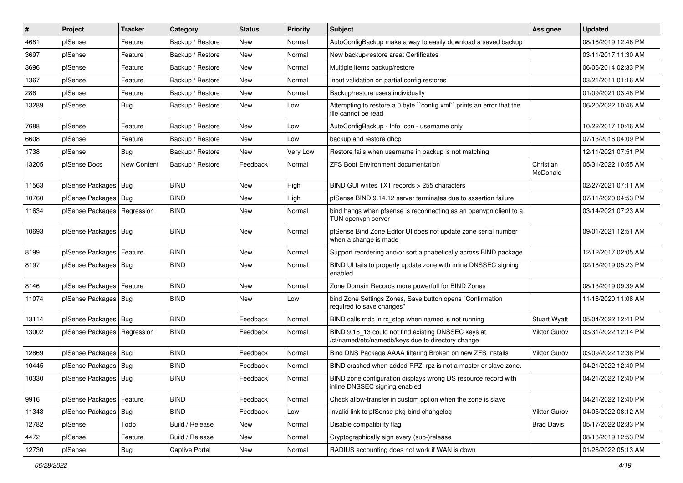| $\vert$ # | Project                       | <b>Tracker</b> | Category         | <b>Status</b> | <b>Priority</b> | Subject                                                                                                  | <b>Assignee</b>       | <b>Updated</b>      |
|-----------|-------------------------------|----------------|------------------|---------------|-----------------|----------------------------------------------------------------------------------------------------------|-----------------------|---------------------|
| 4681      | pfSense                       | Feature        | Backup / Restore | New           | Normal          | AutoConfigBackup make a way to easily download a saved backup                                            |                       | 08/16/2019 12:46 PM |
| 3697      | pfSense                       | Feature        | Backup / Restore | New           | Normal          | New backup/restore area: Certificates                                                                    |                       | 03/11/2017 11:30 AM |
| 3696      | pfSense                       | Feature        | Backup / Restore | New           | Normal          | Multiple items backup/restore                                                                            |                       | 06/06/2014 02:33 PM |
| 1367      | pfSense                       | Feature        | Backup / Restore | <b>New</b>    | Normal          | Input validation on partial config restores                                                              |                       | 03/21/2011 01:16 AM |
| 286       | pfSense                       | Feature        | Backup / Restore | New           | Normal          | Backup/restore users individually                                                                        |                       | 01/09/2021 03:48 PM |
| 13289     | pfSense                       | Bug            | Backup / Restore | New           | Low             | Attempting to restore a 0 byte "config.xml" prints an error that the<br>file cannot be read              |                       | 06/20/2022 10:46 AM |
| 7688      | pfSense                       | Feature        | Backup / Restore | New           | Low             | AutoConfigBackup - Info Icon - username only                                                             |                       | 10/22/2017 10:46 AM |
| 6608      | pfSense                       | Feature        | Backup / Restore | New           | Low             | backup and restore dhcp                                                                                  |                       | 07/13/2016 04:09 PM |
| 1738      | pfSense                       | Bug            | Backup / Restore | <b>New</b>    | Very Low        | Restore fails when username in backup is not matching                                                    |                       | 12/11/2021 07:51 PM |
| 13205     | pfSense Docs                  | New Content    | Backup / Restore | Feedback      | Normal          | <b>ZFS Boot Environment documentation</b>                                                                | Christian<br>McDonald | 05/31/2022 10:55 AM |
| 11563     | pfSense Packages              | Bug            | <b>BIND</b>      | New           | High            | BIND GUI writes TXT records > 255 characters                                                             |                       | 02/27/2021 07:11 AM |
| 10760     | pfSense Packages              | Bug            | <b>BIND</b>      | <b>New</b>    | High            | pfSense BIND 9.14.12 server terminates due to assertion failure                                          |                       | 07/11/2020 04:53 PM |
| 11634     | pfSense Packages   Regression |                | <b>BIND</b>      | New           | Normal          | bind hangs when pfsense is reconnecting as an openypn client to a<br>TUN openvpn server                  |                       | 03/14/2021 07:23 AM |
| 10693     | pfSense Packages   Bug        |                | <b>BIND</b>      | New           | Normal          | pfSense Bind Zone Editor UI does not update zone serial number<br>when a change is made                  |                       | 09/01/2021 12:51 AM |
| 8199      | pfSense Packages              | Feature        | <b>BIND</b>      | New           | Normal          | Support reordering and/or sort alphabetically across BIND package                                        |                       | 12/12/2017 02:05 AM |
| 8197      | pfSense Packages              | Bug            | <b>BIND</b>      | New           | Normal          | BIND UI fails to properly update zone with inline DNSSEC signing<br>enabled                              |                       | 02/18/2019 05:23 PM |
| 8146      | pfSense Packages              | Feature        | <b>BIND</b>      | New           | Normal          | Zone Domain Records more powerfull for BIND Zones                                                        |                       | 08/13/2019 09:39 AM |
| 11074     | pfSense Packages   Bug        |                | <b>BIND</b>      | New           | Low             | bind Zone Settings Zones, Save button opens "Confirmation<br>required to save changes"                   |                       | 11/16/2020 11:08 AM |
| 13114     | pfSense Packages   Bug        |                | <b>BIND</b>      | Feedback      | Normal          | BIND calls rndc in rc stop when named is not running                                                     | <b>Stuart Wyatt</b>   | 05/04/2022 12:41 PM |
| 13002     | pfSense Packages              | Regression     | <b>BIND</b>      | Feedback      | Normal          | BIND 9.16_13 could not find existing DNSSEC keys at<br>/cf/named/etc/namedb/keys due to directory change | <b>Viktor Gurov</b>   | 03/31/2022 12:14 PM |
| 12869     | pfSense Packages              | Bug            | <b>BIND</b>      | Feedback      | Normal          | Bind DNS Package AAAA filtering Broken on new ZFS Installs                                               | Viktor Gurov          | 03/09/2022 12:38 PM |
| 10445     | pfSense Packages              | Bug            | <b>BIND</b>      | Feedback      | Normal          | BIND crashed when added RPZ. rpz is not a master or slave zone.                                          |                       | 04/21/2022 12:40 PM |
| 10330     | pfSense Packages   Bug        |                | <b>BIND</b>      | Feedback      | Normal          | BIND zone configuration displays wrong DS resource record with<br>inline DNSSEC signing enabled          |                       | 04/21/2022 12:40 PM |
| 9916      | pfSense Packages              | Feature        | <b>BIND</b>      | Feedback      | Normal          | Check allow-transfer in custom option when the zone is slave                                             |                       | 04/21/2022 12:40 PM |
| 11343     | pfSense Packages              | Bug            | <b>BIND</b>      | Feedback      | Low             | Invalid link to pfSense-pkg-bind changelog                                                               | Viktor Gurov          | 04/05/2022 08:12 AM |
| 12782     | pfSense                       | Todo           | Build / Release  | New           | Normal          | Disable compatibility flag                                                                               | <b>Brad Davis</b>     | 05/17/2022 02:33 PM |
| 4472      | pfSense                       | Feature        | Build / Release  | New           | Normal          | Cryptographically sign every (sub-)release                                                               |                       | 08/13/2019 12:53 PM |
| 12730     | pfSense                       | Bug            | Captive Portal   | New           | Normal          | RADIUS accounting does not work if WAN is down                                                           |                       | 01/26/2022 05:13 AM |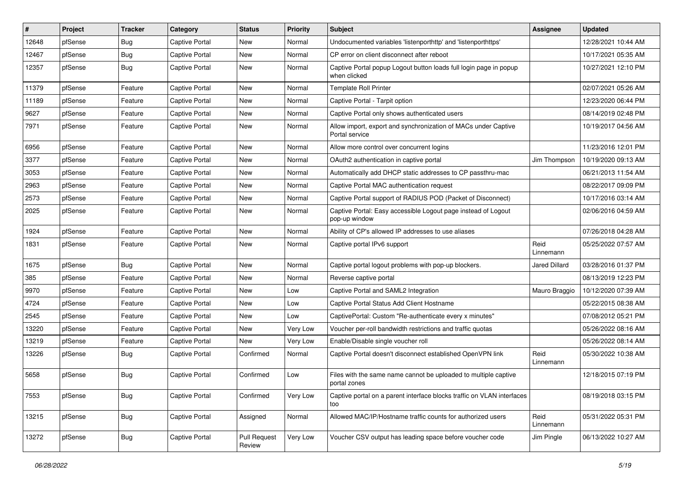| $\vert$ # | Project | <b>Tracker</b> | Category              | <b>Status</b>          | <b>Priority</b> | <b>Subject</b>                                                                    | Assignee             | <b>Updated</b>      |
|-----------|---------|----------------|-----------------------|------------------------|-----------------|-----------------------------------------------------------------------------------|----------------------|---------------------|
| 12648     | pfSense | <b>Bug</b>     | Captive Portal        | New                    | Normal          | Undocumented variables 'listenporthttp' and 'listenporthttps'                     |                      | 12/28/2021 10:44 AM |
| 12467     | pfSense | Bug            | Captive Portal        | New                    | Normal          | CP error on client disconnect after reboot                                        |                      | 10/17/2021 05:35 AM |
| 12357     | pfSense | Bug            | Captive Portal        | New                    | Normal          | Captive Portal popup Logout button loads full login page in popup<br>when clicked |                      | 10/27/2021 12:10 PM |
| 11379     | pfSense | Feature        | <b>Captive Portal</b> | <b>New</b>             | Normal          | <b>Template Roll Printer</b>                                                      |                      | 02/07/2021 05:26 AM |
| 11189     | pfSense | Feature        | Captive Portal        | New                    | Normal          | Captive Portal - Tarpit option                                                    |                      | 12/23/2020 06:44 PM |
| 9627      | pfSense | Feature        | <b>Captive Portal</b> | New                    | Normal          | Captive Portal only shows authenticated users                                     |                      | 08/14/2019 02:48 PM |
| 7971      | pfSense | Feature        | <b>Captive Portal</b> | New                    | Normal          | Allow import, export and synchronization of MACs under Captive<br>Portal service  |                      | 10/19/2017 04:56 AM |
| 6956      | pfSense | Feature        | Captive Portal        | New                    | Normal          | Allow more control over concurrent logins                                         |                      | 11/23/2016 12:01 PM |
| 3377      | pfSense | Feature        | Captive Portal        | New                    | Normal          | OAuth2 authentication in captive portal                                           | Jim Thompson         | 10/19/2020 09:13 AM |
| 3053      | pfSense | Feature        | Captive Portal        | New                    | Normal          | Automatically add DHCP static addresses to CP passthru-mac                        |                      | 06/21/2013 11:54 AM |
| 2963      | pfSense | Feature        | <b>Captive Portal</b> | New                    | Normal          | Captive Portal MAC authentication request                                         |                      | 08/22/2017 09:09 PM |
| 2573      | pfSense | Feature        | Captive Portal        | New                    | Normal          | Captive Portal support of RADIUS POD (Packet of Disconnect)                       |                      | 10/17/2016 03:14 AM |
| 2025      | pfSense | Feature        | <b>Captive Portal</b> | New                    | Normal          | Captive Portal: Easy accessible Logout page instead of Logout<br>pop-up window    |                      | 02/06/2016 04:59 AM |
| 1924      | pfSense | Feature        | Captive Portal        | New                    | Normal          | Ability of CP's allowed IP addresses to use aliases                               |                      | 07/26/2018 04:28 AM |
| 1831      | pfSense | Feature        | Captive Portal        | New                    | Normal          | Captive portal IPv6 support                                                       | Reid<br>Linnemann    | 05/25/2022 07:57 AM |
| 1675      | pfSense | <b>Bug</b>     | Captive Portal        | New                    | Normal          | Captive portal logout problems with pop-up blockers.                              | <b>Jared Dillard</b> | 03/28/2016 01:37 PM |
| 385       | pfSense | Feature        | Captive Portal        | New                    | Normal          | Reverse captive portal                                                            |                      | 08/13/2019 12:23 PM |
| 9970      | pfSense | Feature        | Captive Portal        | New                    | Low             | Captive Portal and SAML2 Integration                                              | Mauro Braggio        | 10/12/2020 07:39 AM |
| 4724      | pfSense | Feature        | <b>Captive Portal</b> | New                    | Low             | Captive Portal Status Add Client Hostname                                         |                      | 05/22/2015 08:38 AM |
| 2545      | pfSense | Feature        | Captive Portal        | New                    | Low             | CaptivePortal: Custom "Re-authenticate every x minutes"                           |                      | 07/08/2012 05:21 PM |
| 13220     | pfSense | Feature        | <b>Captive Portal</b> | New                    | Very Low        | Voucher per-roll bandwidth restrictions and traffic quotas                        |                      | 05/26/2022 08:16 AM |
| 13219     | pfSense | Feature        | Captive Portal        | New                    | Very Low        | Enable/Disable single voucher roll                                                |                      | 05/26/2022 08:14 AM |
| 13226     | pfSense | <b>Bug</b>     | <b>Captive Portal</b> | Confirmed              | Normal          | Captive Portal doesn't disconnect established OpenVPN link                        | Reid<br>Linnemann    | 05/30/2022 10:38 AM |
| 5658      | pfSense | Bug            | <b>Captive Portal</b> | Confirmed              | Low             | Files with the same name cannot be uploaded to multiple captive<br>portal zones   |                      | 12/18/2015 07:19 PM |
| 7553      | pfSense | Bug            | Captive Portal        | Confirmed              | Very Low        | Captive portal on a parent interface blocks traffic on VLAN interfaces<br>too     |                      | 08/19/2018 03:15 PM |
| 13215     | pfSense | <b>Bug</b>     | Captive Portal        | Assigned               | Normal          | Allowed MAC/IP/Hostname traffic counts for authorized users                       | Reid<br>Linnemann    | 05/31/2022 05:31 PM |
| 13272     | pfSense | Bug            | Captive Portal        | Pull Request<br>Review | Very Low        | Voucher CSV output has leading space before voucher code                          | Jim Pingle           | 06/13/2022 10:27 AM |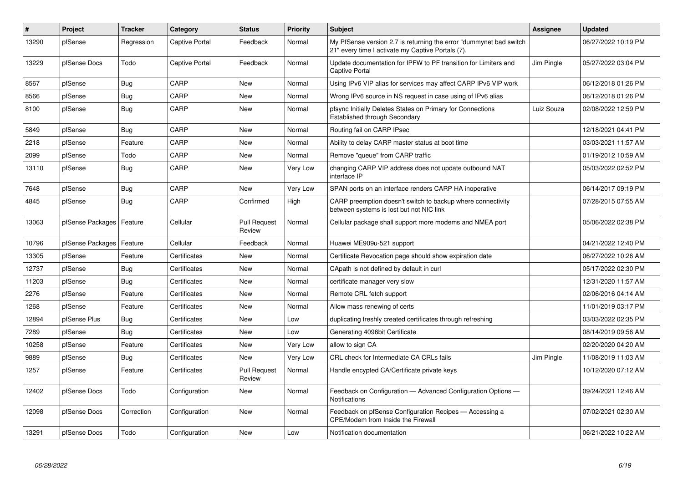| $\vert$ # | Project                    | <b>Tracker</b> | Category       | <b>Status</b>                 | <b>Priority</b> | <b>Subject</b>                                                                                                          | Assignee   | <b>Updated</b>      |
|-----------|----------------------------|----------------|----------------|-------------------------------|-----------------|-------------------------------------------------------------------------------------------------------------------------|------------|---------------------|
| 13290     | pfSense                    | Regression     | Captive Portal | Feedback                      | Normal          | My PfSense version 2.7 is returning the error "dummynet bad switch<br>21" every time I activate my Captive Portals (7). |            | 06/27/2022 10:19 PM |
| 13229     | pfSense Docs               | Todo           | Captive Portal | Feedback                      | Normal          | Update documentation for IPFW to PF transition for Limiters and<br><b>Captive Portal</b>                                | Jim Pingle | 05/27/2022 03:04 PM |
| 8567      | pfSense                    | <b>Bug</b>     | CARP           | <b>New</b>                    | Normal          | Using IPv6 VIP alias for services may affect CARP IPv6 VIP work                                                         |            | 06/12/2018 01:26 PM |
| 8566      | pfSense                    | Bug            | CARP           | <b>New</b>                    | Normal          | Wrong IPv6 source in NS request in case using of IPv6 alias                                                             |            | 06/12/2018 01:26 PM |
| 8100      | pfSense                    | Bug            | CARP           | <b>New</b>                    | Normal          | pfsync Initially Deletes States on Primary for Connections<br><b>Established through Secondary</b>                      | Luiz Souza | 02/08/2022 12:59 PM |
| 5849      | pfSense                    | Bug            | CARP           | <b>New</b>                    | Normal          | Routing fail on CARP IPsec                                                                                              |            | 12/18/2021 04:41 PM |
| 2218      | pfSense                    | Feature        | CARP           | <b>New</b>                    | Normal          | Ability to delay CARP master status at boot time                                                                        |            | 03/03/2021 11:57 AM |
| 2099      | pfSense                    | Todo           | CARP           | <b>New</b>                    | Normal          | Remove "queue" from CARP traffic                                                                                        |            | 01/19/2012 10:59 AM |
| 13110     | pfSense                    | <b>Bug</b>     | CARP           | New                           | Very Low        | changing CARP VIP address does not update outbound NAT<br>interface IP                                                  |            | 05/03/2022 02:52 PM |
| 7648      | pfSense                    | <b>Bug</b>     | CARP           | <b>New</b>                    | Very Low        | SPAN ports on an interface renders CARP HA inoperative                                                                  |            | 06/14/2017 09:19 PM |
| 4845      | pfSense                    | Bug            | CARP           | Confirmed                     | High            | CARP preemption doesn't switch to backup where connectivity<br>between systems is lost but not NIC link                 |            | 07/28/2015 07:55 AM |
| 13063     | pfSense Packages   Feature |                | Cellular       | <b>Pull Request</b><br>Review | Normal          | Cellular package shall support more modems and NMEA port                                                                |            | 05/06/2022 02:38 PM |
| 10796     | pfSense Packages           | Feature        | Cellular       | Feedback                      | Normal          | Huawei ME909u-521 support                                                                                               |            | 04/21/2022 12:40 PM |
| 13305     | pfSense                    | Feature        | Certificates   | New                           | Normal          | Certificate Revocation page should show expiration date                                                                 |            | 06/27/2022 10:26 AM |
| 12737     | pfSense                    | Bug            | Certificates   | New                           | Normal          | CApath is not defined by default in curl                                                                                |            | 05/17/2022 02:30 PM |
| 11203     | pfSense                    | Bug            | Certificates   | <b>New</b>                    | Normal          | certificate manager very slow                                                                                           |            | 12/31/2020 11:57 AM |
| 2276      | pfSense                    | Feature        | Certificates   | <b>New</b>                    | Normal          | Remote CRL fetch support                                                                                                |            | 02/06/2016 04:14 AM |
| 1268      | pfSense                    | Feature        | Certificates   | <b>New</b>                    | Normal          | Allow mass renewing of certs                                                                                            |            | 11/01/2019 03:17 PM |
| 12894     | pfSense Plus               | <b>Bug</b>     | Certificates   | <b>New</b>                    | Low             | duplicating freshly created certificates through refreshing                                                             |            | 03/03/2022 02:35 PM |
| 7289      | pfSense                    | <b>Bug</b>     | Certificates   | <b>New</b>                    | Low             | Generating 4096bit Certificate                                                                                          |            | 08/14/2019 09:56 AM |
| 10258     | pfSense                    | Feature        | Certificates   | <b>New</b>                    | Very Low        | allow to sign CA                                                                                                        |            | 02/20/2020 04:20 AM |
| 9889      | pfSense                    | Bug            | Certificates   | <b>New</b>                    | Very Low        | CRL check for Intermediate CA CRLs fails                                                                                | Jim Pingle | 11/08/2019 11:03 AM |
| 1257      | pfSense                    | Feature        | Certificates   | <b>Pull Request</b><br>Review | Normal          | Handle encypted CA/Certificate private keys                                                                             |            | 10/12/2020 07:12 AM |
| 12402     | pfSense Docs               | Todo           | Configuration  | <b>New</b>                    | Normal          | Feedback on Configuration - Advanced Configuration Options -<br><b>Notifications</b>                                    |            | 09/24/2021 12:46 AM |
| 12098     | pfSense Docs               | Correction     | Configuration  | <b>New</b>                    | Normal          | Feedback on pfSense Configuration Recipes - Accessing a<br>CPE/Modem from Inside the Firewall                           |            | 07/02/2021 02:30 AM |
| 13291     | pfSense Docs               | Todo           | Configuration  | <b>New</b>                    | Low             | Notification documentation                                                                                              |            | 06/21/2022 10:22 AM |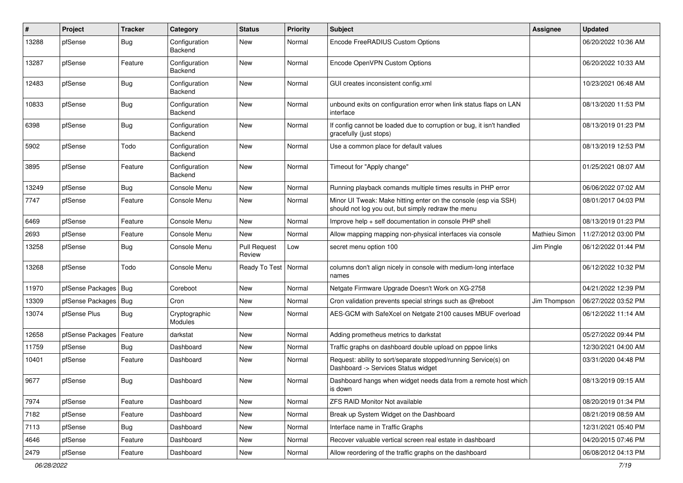| #     | Project                | <b>Tracker</b> | Category                 | <b>Status</b>                 | <b>Priority</b> | Subject                                                                                                               | Assignee             | <b>Updated</b>      |
|-------|------------------------|----------------|--------------------------|-------------------------------|-----------------|-----------------------------------------------------------------------------------------------------------------------|----------------------|---------------------|
| 13288 | pfSense                | <b>Bug</b>     | Configuration<br>Backend | New                           | Normal          | Encode FreeRADIUS Custom Options                                                                                      |                      | 06/20/2022 10:36 AM |
| 13287 | pfSense                | Feature        | Configuration<br>Backend | <b>New</b>                    | Normal          | Encode OpenVPN Custom Options                                                                                         |                      | 06/20/2022 10:33 AM |
| 12483 | pfSense                | Bug            | Configuration<br>Backend | <b>New</b>                    | Normal          | GUI creates inconsistent config.xml                                                                                   |                      | 10/23/2021 06:48 AM |
| 10833 | pfSense                | Bug            | Configuration<br>Backend | New                           | Normal          | unbound exits on configuration error when link status flaps on LAN<br>interface                                       |                      | 08/13/2020 11:53 PM |
| 6398  | pfSense                | <b>Bug</b>     | Configuration<br>Backend | <b>New</b>                    | Normal          | If config cannot be loaded due to corruption or bug, it isn't handled<br>gracefully (just stops)                      |                      | 08/13/2019 01:23 PM |
| 5902  | pfSense                | Todo           | Configuration<br>Backend | <b>New</b>                    | Normal          | Use a common place for default values                                                                                 |                      | 08/13/2019 12:53 PM |
| 3895  | pfSense                | Feature        | Configuration<br>Backend | New                           | Normal          | Timeout for "Apply change"                                                                                            |                      | 01/25/2021 08:07 AM |
| 13249 | pfSense                | <b>Bug</b>     | Console Menu             | <b>New</b>                    | Normal          | Running playback comands multiple times results in PHP error                                                          |                      | 06/06/2022 07:02 AM |
| 7747  | pfSense                | Feature        | Console Menu             | <b>New</b>                    | Normal          | Minor UI Tweak: Make hitting enter on the console (esp via SSH)<br>should not log you out, but simply redraw the menu |                      | 08/01/2017 04:03 PM |
| 6469  | pfSense                | Feature        | Console Menu             | <b>New</b>                    | Normal          | Improve help + self documentation in console PHP shell                                                                |                      | 08/13/2019 01:23 PM |
| 2693  | pfSense                | Feature        | Console Menu             | <b>New</b>                    | Normal          | Allow mapping mapping non-physical interfaces via console                                                             | <b>Mathieu Simon</b> | 11/27/2012 03:00 PM |
| 13258 | pfSense                | Bug            | Console Menu             | <b>Pull Request</b><br>Review | Low             | secret menu option 100                                                                                                | Jim Pingle           | 06/12/2022 01:44 PM |
| 13268 | pfSense                | Todo           | Console Menu             | Ready To Test                 | Normal          | columns don't align nicely in console with medium-long interface<br>names                                             |                      | 06/12/2022 10:32 PM |
| 11970 | pfSense Packages   Bug |                | Coreboot                 | <b>New</b>                    | Normal          | Netgate Firmware Upgrade Doesn't Work on XG-2758                                                                      |                      | 04/21/2022 12:39 PM |
| 13309 | pfSense Packages       | Bug            | Cron                     | New                           | Normal          | Cron validation prevents special strings such as @reboot                                                              | Jim Thompson         | 06/27/2022 03:52 PM |
| 13074 | pfSense Plus           | <b>Bug</b>     | Cryptographic<br>Modules | New                           | Normal          | AES-GCM with SafeXcel on Netgate 2100 causes MBUF overload                                                            |                      | 06/12/2022 11:14 AM |
| 12658 | pfSense Packages       | Feature        | darkstat                 | <b>New</b>                    | Normal          | Adding prometheus metrics to darkstat                                                                                 |                      | 05/27/2022 09:44 PM |
| 11759 | pfSense                | Bug            | Dashboard                | New                           | Normal          | Traffic graphs on dashboard double upload on pppoe links                                                              |                      | 12/30/2021 04:00 AM |
| 10401 | pfSense                | Feature        | Dashboard                | New                           | Normal          | Request: ability to sort/separate stopped/running Service(s) on<br>Dashboard -> Services Status widget                |                      | 03/31/2020 04:48 PM |
| 9677  | pfSense                | <b>Bug</b>     | Dashboard                | <b>New</b>                    | Normal          | Dashboard hangs when widget needs data from a remote host which<br>is down                                            |                      | 08/13/2019 09:15 AM |
| 7974  | pfSense                | Feature        | Dashboard                | <b>New</b>                    | Normal          | <b>ZFS RAID Monitor Not available</b>                                                                                 |                      | 08/20/2019 01:34 PM |
| 7182  | pfSense                | Feature        | Dashboard                | New                           | Normal          | Break up System Widget on the Dashboard                                                                               |                      | 08/21/2019 08:59 AM |
| 7113  | pfSense                | <b>Bug</b>     | Dashboard                | New                           | Normal          | Interface name in Traffic Graphs                                                                                      |                      | 12/31/2021 05:40 PM |
| 4646  | pfSense                | Feature        | Dashboard                | New                           | Normal          | Recover valuable vertical screen real estate in dashboard                                                             |                      | 04/20/2015 07:46 PM |
| 2479  | pfSense                | Feature        | Dashboard                | New                           | Normal          | Allow reordering of the traffic graphs on the dashboard                                                               |                      | 06/08/2012 04:13 PM |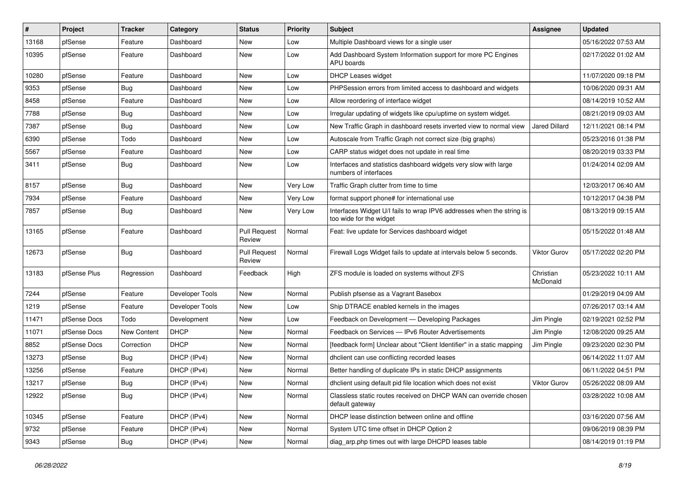| #     | Project      | Tracker     | Category        | <b>Status</b>                 | <b>Priority</b> | Subject                                                                                          | <b>Assignee</b>       | <b>Updated</b>      |
|-------|--------------|-------------|-----------------|-------------------------------|-----------------|--------------------------------------------------------------------------------------------------|-----------------------|---------------------|
| 13168 | pfSense      | Feature     | Dashboard       | New                           | Low             | Multiple Dashboard views for a single user                                                       |                       | 05/16/2022 07:53 AM |
| 10395 | pfSense      | Feature     | Dashboard       | New                           | Low             | Add Dashboard System Information support for more PC Engines<br>APU boards                       |                       | 02/17/2022 01:02 AM |
| 10280 | pfSense      | Feature     | Dashboard       | New                           | Low             | <b>DHCP Leases widget</b>                                                                        |                       | 11/07/2020 09:18 PM |
| 9353  | pfSense      | <b>Bug</b>  | Dashboard       | New                           | Low             | PHPSession errors from limited access to dashboard and widgets                                   |                       | 10/06/2020 09:31 AM |
| 8458  | pfSense      | Feature     | Dashboard       | New                           | Low             | Allow reordering of interface widget                                                             |                       | 08/14/2019 10:52 AM |
| 7788  | pfSense      | <b>Bug</b>  | Dashboard       | <b>New</b>                    | Low             | Irregular updating of widgets like cpu/uptime on system widget.                                  |                       | 08/21/2019 09:03 AM |
| 7387  | pfSense      | Bug         | Dashboard       | New                           | Low             | New Traffic Graph in dashboard resets inverted view to normal view                               | Jared Dillard         | 12/11/2021 08:14 PM |
| 6390  | pfSense      | Todo        | Dashboard       | <b>New</b>                    | Low             | Autoscale from Traffic Graph not correct size (big graphs)                                       |                       | 05/23/2016 01:38 PM |
| 5567  | pfSense      | Feature     | Dashboard       | <b>New</b>                    | Low             | CARP status widget does not update in real time                                                  |                       | 08/20/2019 03:33 PM |
| 3411  | pfSense      | Bug         | Dashboard       | New                           | Low             | Interfaces and statistics dashboard widgets very slow with large<br>numbers of interfaces        |                       | 01/24/2014 02:09 AM |
| 8157  | pfSense      | <b>Bug</b>  | Dashboard       | New                           | Very Low        | Traffic Graph clutter from time to time                                                          |                       | 12/03/2017 06:40 AM |
| 7934  | pfSense      | Feature     | Dashboard       | New                           | Very Low        | format support phone# for international use                                                      |                       | 10/12/2017 04:38 PM |
| 7857  | pfSense      | Bug         | Dashboard       | New                           | Very Low        | Interfaces Widget U/I fails to wrap IPV6 addresses when the string is<br>too wide for the widget |                       | 08/13/2019 09:15 AM |
| 13165 | pfSense      | Feature     | Dashboard       | <b>Pull Request</b><br>Review | Normal          | Feat: live update for Services dashboard widget                                                  |                       | 05/15/2022 01:48 AM |
| 12673 | pfSense      | Bug         | Dashboard       | <b>Pull Request</b><br>Review | Normal          | Firewall Logs Widget fails to update at intervals below 5 seconds.                               | <b>Viktor Gurov</b>   | 05/17/2022 02:20 PM |
| 13183 | pfSense Plus | Regression  | Dashboard       | Feedback                      | High            | ZFS module is loaded on systems without ZFS                                                      | Christian<br>McDonald | 05/23/2022 10:11 AM |
| 7244  | pfSense      | Feature     | Developer Tools | New                           | Normal          | Publish pfsense as a Vagrant Basebox                                                             |                       | 01/29/2019 04:09 AM |
| 1219  | pfSense      | Feature     | Developer Tools | New                           | Low             | Ship DTRACE enabled kernels in the images                                                        |                       | 07/26/2017 03:14 AM |
| 11471 | pfSense Docs | Todo        | Development     | New                           | Low             | Feedback on Development - Developing Packages                                                    | Jim Pingle            | 02/19/2021 02:52 PM |
| 11071 | pfSense Docs | New Content | <b>DHCP</b>     | New                           | Normal          | Feedback on Services - IPv6 Router Advertisements                                                | Jim Pingle            | 12/08/2020 09:25 AM |
| 8852  | pfSense Docs | Correction  | DHCP            | New                           | Normal          | [feedback form] Unclear about "Client Identifier" in a static mapping                            | Jim Pingle            | 09/23/2020 02:30 PM |
| 13273 | pfSense      | Bug         | DHCP (IPv4)     | New                           | Normal          | dhclient can use conflicting recorded leases                                                     |                       | 06/14/2022 11:07 AM |
| 13256 | pfSense      | Feature     | DHCP (IPv4)     | <b>New</b>                    | Normal          | Better handling of duplicate IPs in static DHCP assignments                                      |                       | 06/11/2022 04:51 PM |
| 13217 | pfSense      | Bug         | DHCP (IPv4)     | New                           | Normal          | dholient using default pid file location which does not exist                                    | <b>Viktor Gurov</b>   | 05/26/2022 08:09 AM |
| 12922 | pfSense      | Bug         | DHCP (IPv4)     | New                           | Normal          | Classless static routes received on DHCP WAN can override chosen<br>default gateway              |                       | 03/28/2022 10:08 AM |
| 10345 | pfSense      | Feature     | DHCP (IPv4)     | New                           | Normal          | DHCP lease distinction between online and offline                                                |                       | 03/16/2020 07:56 AM |
| 9732  | pfSense      | Feature     | DHCP (IPv4)     | New                           | Normal          | System UTC time offset in DHCP Option 2                                                          |                       | 09/06/2019 08:39 PM |
| 9343  | pfSense      | <b>Bug</b>  | DHCP (IPv4)     | New                           | Normal          | diag arp.php times out with large DHCPD leases table                                             |                       | 08/14/2019 01:19 PM |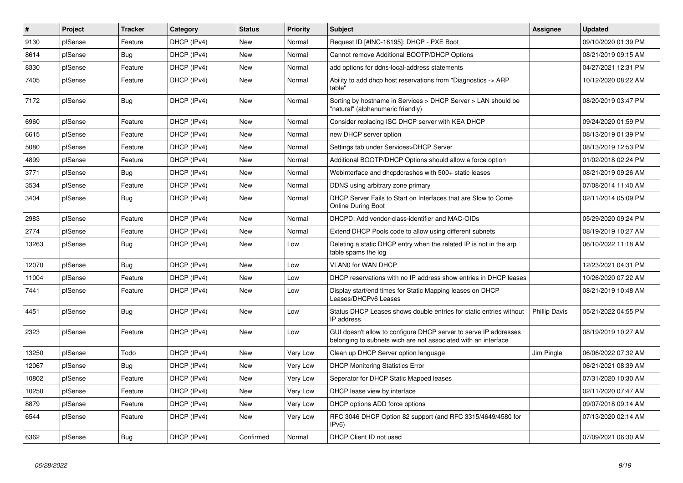| $\vert$ # | Project | <b>Tracker</b> | Category    | <b>Status</b> | <b>Priority</b> | <b>Subject</b>                                                                                                                     | <b>Assignee</b>      | <b>Updated</b>      |
|-----------|---------|----------------|-------------|---------------|-----------------|------------------------------------------------------------------------------------------------------------------------------------|----------------------|---------------------|
| 9130      | pfSense | Feature        | DHCP (IPv4) | <b>New</b>    | Normal          | Request ID [#INC-16195]: DHCP - PXE Boot                                                                                           |                      | 09/10/2020 01:39 PM |
| 8614      | pfSense | Bug            | DHCP (IPv4) | <b>New</b>    | Normal          | Cannot remove Additional BOOTP/DHCP Options                                                                                        |                      | 08/21/2019 09:15 AM |
| 8330      | pfSense | Feature        | DHCP (IPv4) | <b>New</b>    | Normal          | add options for ddns-local-address statements                                                                                      |                      | 04/27/2021 12:31 PM |
| 7405      | pfSense | Feature        | DHCP (IPv4) | <b>New</b>    | Normal          | Ability to add dhcp host reservations from "Diagnostics -> ARP<br>table"                                                           |                      | 10/12/2020 08:22 AM |
| 7172      | pfSense | <b>Bug</b>     | DHCP (IPv4) | <b>New</b>    | Normal          | Sorting by hostname in Services > DHCP Server > LAN should be<br>"natural" (alphanumeric friendly)                                 |                      | 08/20/2019 03:47 PM |
| 6960      | pfSense | Feature        | DHCP (IPv4) | New           | Normal          | Consider replacing ISC DHCP server with KEA DHCP                                                                                   |                      | 09/24/2020 01:59 PM |
| 6615      | pfSense | Feature        | DHCP (IPv4) | <b>New</b>    | Normal          | new DHCP server option                                                                                                             |                      | 08/13/2019 01:39 PM |
| 5080      | pfSense | Feature        | DHCP (IPv4) | <b>New</b>    | Normal          | Settings tab under Services>DHCP Server                                                                                            |                      | 08/13/2019 12:53 PM |
| 4899      | pfSense | Feature        | DHCP (IPv4) | <b>New</b>    | Normal          | Additional BOOTP/DHCP Options should allow a force option                                                                          |                      | 01/02/2018 02:24 PM |
| 3771      | pfSense | Bug            | DHCP (IPv4) | <b>New</b>    | Normal          | Webinterface and dhcpdcrashes with 500+ static leases                                                                              |                      | 08/21/2019 09:26 AM |
| 3534      | pfSense | Feature        | DHCP (IPv4) | <b>New</b>    | Normal          | DDNS using arbitrary zone primary                                                                                                  |                      | 07/08/2014 11:40 AM |
| 3404      | pfSense | <b>Bug</b>     | DHCP (IPv4) | <b>New</b>    | Normal          | DHCP Server Fails to Start on Interfaces that are Slow to Come<br><b>Online During Boot</b>                                        |                      | 02/11/2014 05:09 PM |
| 2983      | pfSense | Feature        | DHCP (IPv4) | <b>New</b>    | Normal          | DHCPD: Add vendor-class-identifier and MAC-OIDs                                                                                    |                      | 05/29/2020 09:24 PM |
| 2774      | pfSense | Feature        | DHCP (IPv4) | <b>New</b>    | Normal          | Extend DHCP Pools code to allow using different subnets                                                                            |                      | 08/19/2019 10:27 AM |
| 13263     | pfSense | <b>Bug</b>     | DHCP (IPv4) | <b>New</b>    | Low             | Deleting a static DHCP entry when the related IP is not in the arp<br>table spams the log                                          |                      | 06/10/2022 11:18 AM |
| 12070     | pfSense | Bug            | DHCP (IPv4) | <b>New</b>    | Low             | <b>VLAN0 for WAN DHCP</b>                                                                                                          |                      | 12/23/2021 04:31 PM |
| 11004     | pfSense | Feature        | DHCP (IPv4) | New           | Low             | DHCP reservations with no IP address show entries in DHCP leases                                                                   |                      | 10/26/2020 07:22 AM |
| 7441      | pfSense | Feature        | DHCP (IPv4) | New           | Low             | Display start/end times for Static Mapping leases on DHCP<br>Leases/DHCPv6 Leases                                                  |                      | 08/21/2019 10:48 AM |
| 4451      | pfSense | <b>Bug</b>     | DHCP (IPv4) | New           | Low             | Status DHCP Leases shows double entries for static entries without<br>IP address                                                   | <b>Phillip Davis</b> | 05/21/2022 04:55 PM |
| 2323      | pfSense | Feature        | DHCP (IPv4) | <b>New</b>    | Low             | GUI doesn't allow to configure DHCP server to serve IP addresses<br>belonging to subnets wich are not associated with an interface |                      | 08/19/2019 10:27 AM |
| 13250     | pfSense | Todo           | DHCP (IPv4) | <b>New</b>    | Very Low        | Clean up DHCP Server option language                                                                                               | Jim Pingle           | 06/06/2022 07:32 AM |
| 12067     | pfSense | <b>Bug</b>     | DHCP (IPv4) | <b>New</b>    | Very Low        | <b>DHCP Monitoring Statistics Error</b>                                                                                            |                      | 06/21/2021 08:39 AM |
| 10802     | pfSense | Feature        | DHCP (IPv4) | <b>New</b>    | Very Low        | Seperator for DHCP Static Mapped leases                                                                                            |                      | 07/31/2020 10:30 AM |
| 10250     | pfSense | Feature        | DHCP (IPv4) | <b>New</b>    | Very Low        | DHCP lease view by interface                                                                                                       |                      | 02/11/2020 07:47 AM |
| 8879      | pfSense | Feature        | DHCP (IPv4) | New           | Very Low        | DHCP options ADD force options                                                                                                     |                      | 09/07/2018 09:14 AM |
| 6544      | pfSense | Feature        | DHCP (IPv4) | New           | Very Low        | RFC 3046 DHCP Option 82 support (and RFC 3315/4649/4580 for<br>IPv6                                                                |                      | 07/13/2020 02:14 AM |
| 6362      | pfSense | Bug            | DHCP (IPv4) | Confirmed     | Normal          | DHCP Client ID not used                                                                                                            |                      | 07/09/2021 06:30 AM |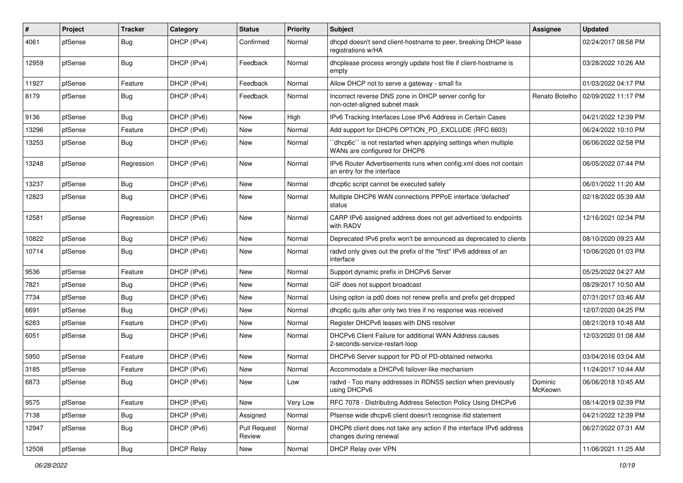| #     | Project | <b>Tracker</b> | Category          | <b>Status</b>                 | <b>Priority</b> | Subject                                                                                        | <b>Assignee</b>    | <b>Updated</b>      |
|-------|---------|----------------|-------------------|-------------------------------|-----------------|------------------------------------------------------------------------------------------------|--------------------|---------------------|
| 4061  | pfSense | Bug            | DHCP (IPv4)       | Confirmed                     | Normal          | dhcpd doesn't send client-hostname to peer, breaking DHCP lease<br>registrations w/HA          |                    | 02/24/2017 08:58 PM |
| 12959 | pfSense | Bug            | DHCP (IPv4)       | Feedback                      | Normal          | dhcplease process wrongly update host file if client-hostname is<br>empty                      |                    | 03/28/2022 10:26 AM |
| 11927 | pfSense | Feature        | DHCP (IPv4)       | Feedback                      | Normal          | Allow DHCP not to serve a gateway - small fix                                                  |                    | 01/03/2022 04:17 PM |
| 8179  | pfSense | Bug            | DHCP (IPv4)       | Feedback                      | Normal          | Incorrect reverse DNS zone in DHCP server config for<br>non-octet-aligned subnet mask          | Renato Botelho     | 02/09/2022 11:17 PM |
| 9136  | pfSense | Bug            | DHCP (IPv6)       | New                           | High            | IPv6 Tracking Interfaces Lose IPv6 Address in Certain Cases                                    |                    | 04/21/2022 12:39 PM |
| 13296 | pfSense | Feature        | DHCP (IPv6)       | New                           | Normal          | Add support for DHCP6 OPTION_PD_EXCLUDE (RFC 6603)                                             |                    | 06/24/2022 10:10 PM |
| 13253 | pfSense | Bug            | DHCP (IPv6)       | New                           | Normal          | dhcp6c" is not restarted when applying settings when multiple<br>WANs are configured for DHCP6 |                    | 06/06/2022 02:58 PM |
| 13248 | pfSense | Regression     | DHCP (IPv6)       | New                           | Normal          | IPv6 Router Advertisements runs when config.xml does not contain<br>an entry for the interface |                    | 06/05/2022 07:44 PM |
| 13237 | pfSense | <b>Bug</b>     | DHCP (IPv6)       | New                           | Normal          | dhcp6c script cannot be executed safely                                                        |                    | 06/01/2022 11:20 AM |
| 12823 | pfSense | Bug            | DHCP (IPv6)       | New                           | Normal          | Multiple DHCP6 WAN connections PPPoE interface 'defached'<br>status                            |                    | 02/18/2022 05:39 AM |
| 12581 | pfSense | Regression     | DHCP (IPv6)       | New                           | Normal          | CARP IPv6 assigned address does not get advertised to endpoints<br>with RADV                   |                    | 12/16/2021 02:34 PM |
| 10822 | pfSense | Bug            | DHCP (IPv6)       | <b>New</b>                    | Normal          | Deprecated IPv6 prefix won't be announced as deprecated to clients                             |                    | 08/10/2020 09:23 AM |
| 10714 | pfSense | <b>Bug</b>     | DHCP (IPv6)       | New                           | Normal          | radvd only gives out the prefix of the "first" IPv6 address of an<br>interface                 |                    | 10/06/2020 01:03 PM |
| 9536  | pfSense | Feature        | DHCP (IPv6)       | New                           | Normal          | Support dynamic prefix in DHCPv6 Server                                                        |                    | 05/25/2022 04:27 AM |
| 7821  | pfSense | Bug            | DHCP (IPv6)       | New                           | Normal          | GIF does not support broadcast                                                                 |                    | 08/29/2017 10:50 AM |
| 7734  | pfSense | Bug            | DHCP (IPv6)       | New                           | Normal          | Using opton ia pd0 does not renew prefix and prefix get dropped                                |                    | 07/31/2017 03:46 AM |
| 6691  | pfSense | Bug            | DHCP (IPv6)       | New                           | Normal          | dhcp6c quits after only two tries if no response was received                                  |                    | 12/07/2020 04:25 PM |
| 6283  | pfSense | Feature        | DHCP (IPv6)       | New                           | Normal          | Register DHCPv6 leases with DNS resolver                                                       |                    | 08/21/2019 10:48 AM |
| 6051  | pfSense | <b>Bug</b>     | DHCP (IPv6)       | New                           | Normal          | DHCPv6 Client Failure for additional WAN Address causes<br>2-seconds-service-restart-loop      |                    | 12/03/2020 01:08 AM |
| 5950  | pfSense | Feature        | DHCP (IPv6)       | New                           | Normal          | DHCPv6 Server support for PD of PD-obtained networks                                           |                    | 03/04/2016 03:04 AM |
| 3185  | pfSense | Feature        | DHCP (IPv6)       | New                           | Normal          | Accommodate a DHCPv6 failover-like mechanism                                                   |                    | 11/24/2017 10:44 AM |
| 6873  | pfSense | Bug            | DHCP (IPv6)       | New                           | Low             | radvd - Too many addresses in RDNSS section when previously<br>using DHCPv6                    | Dominic<br>McKeown | 06/06/2018 10:45 AM |
| 9575  | pfSense | Feature        | DHCP (IPv6)       | New                           | Very Low        | RFC 7078 - Distributing Address Selection Policy Using DHCPv6                                  |                    | 08/14/2019 02:39 PM |
| 7138  | pfSense | Bug            | DHCP (IPv6)       | Assigned                      | Normal          | Pfsense wide dhcpv6 client doesn't recognise ifid statement                                    |                    | 04/21/2022 12:39 PM |
| 12947 | pfSense | <b>Bug</b>     | DHCP (IPv6)       | <b>Pull Request</b><br>Review | Normal          | DHCP6 client does not take any action if the interface IPv6 address<br>changes during renewal  |                    | 06/27/2022 07:31 AM |
| 12508 | pfSense | <b>Bug</b>     | <b>DHCP Relay</b> | New                           | Normal          | DHCP Relay over VPN                                                                            |                    | 11/06/2021 11:25 AM |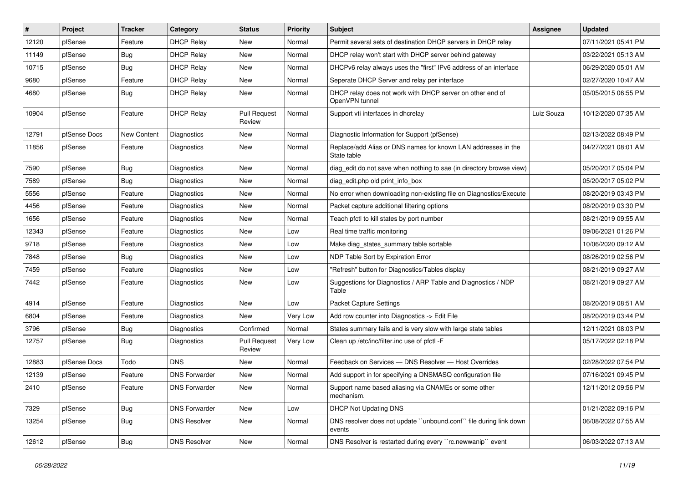| $\vert$ # | Project      | <b>Tracker</b> | Category             | <b>Status</b>                 | <b>Priority</b> | <b>Subject</b>                                                               | Assignee   | <b>Updated</b>      |
|-----------|--------------|----------------|----------------------|-------------------------------|-----------------|------------------------------------------------------------------------------|------------|---------------------|
| 12120     | pfSense      | Feature        | <b>DHCP Relay</b>    | New                           | Normal          | Permit several sets of destination DHCP servers in DHCP relay                |            | 07/11/2021 05:41 PM |
| 11149     | pfSense      | Bug            | <b>DHCP Relay</b>    | New                           | Normal          | DHCP relay won't start with DHCP server behind gateway                       |            | 03/22/2021 05:13 AM |
| 10715     | pfSense      | Bug            | <b>DHCP Relay</b>    | New                           | Normal          | DHCPv6 relay always uses the "first" IPv6 address of an interface            |            | 06/29/2020 05:01 AM |
| 9680      | pfSense      | Feature        | <b>DHCP Relay</b>    | New                           | Normal          | Seperate DHCP Server and relay per interface                                 |            | 02/27/2020 10:47 AM |
| 4680      | pfSense      | <b>Bug</b>     | <b>DHCP Relay</b>    | <b>New</b>                    | Normal          | DHCP relay does not work with DHCP server on other end of<br>OpenVPN tunnel  |            | 05/05/2015 06:55 PM |
| 10904     | pfSense      | Feature        | <b>DHCP Relay</b>    | <b>Pull Request</b><br>Review | Normal          | Support vti interfaces in dhcrelay                                           | Luiz Souza | 10/12/2020 07:35 AM |
| 12791     | pfSense Docs | New Content    | Diagnostics          | New                           | Normal          | Diagnostic Information for Support (pfSense)                                 |            | 02/13/2022 08:49 PM |
| 11856     | pfSense      | Feature        | Diagnostics          | New                           | Normal          | Replace/add Alias or DNS names for known LAN addresses in the<br>State table |            | 04/27/2021 08:01 AM |
| 7590      | pfSense      | Bug            | Diagnostics          | New                           | Normal          | diag_edit do not save when nothing to sae (in directory browse view)         |            | 05/20/2017 05:04 PM |
| 7589      | pfSense      | <b>Bug</b>     | Diagnostics          | <b>New</b>                    | Normal          | diag edit.php old print info box                                             |            | 05/20/2017 05:02 PM |
| 5556      | pfSense      | Feature        | Diagnostics          | New                           | Normal          | No error when downloading non-existing file on Diagnostics/Execute           |            | 08/20/2019 03:43 PM |
| 4456      | pfSense      | Feature        | Diagnostics          | New                           | Normal          | Packet capture additional filtering options                                  |            | 08/20/2019 03:30 PM |
| 1656      | pfSense      | Feature        | Diagnostics          | <b>New</b>                    | Normal          | Teach pfctl to kill states by port number                                    |            | 08/21/2019 09:55 AM |
| 12343     | pfSense      | Feature        | Diagnostics          | New                           | Low             | Real time traffic monitoring                                                 |            | 09/06/2021 01:26 PM |
| 9718      | pfSense      | Feature        | <b>Diagnostics</b>   | New                           | Low             | Make diag_states_summary table sortable                                      |            | 10/06/2020 09:12 AM |
| 7848      | pfSense      | Bug            | Diagnostics          | New                           | Low             | NDP Table Sort by Expiration Error                                           |            | 08/26/2019 02:56 PM |
| 7459      | pfSense      | Feature        | Diagnostics          | New                           | Low             | "Refresh" button for Diagnostics/Tables display                              |            | 08/21/2019 09:27 AM |
| 7442      | pfSense      | Feature        | Diagnostics          | <b>New</b>                    | Low             | Suggestions for Diagnostics / ARP Table and Diagnostics / NDP<br>Table       |            | 08/21/2019 09:27 AM |
| 4914      | pfSense      | Feature        | <b>Diagnostics</b>   | <b>New</b>                    | Low             | <b>Packet Capture Settings</b>                                               |            | 08/20/2019 08:51 AM |
| 6804      | pfSense      | Feature        | Diagnostics          | <b>New</b>                    | Very Low        | Add row counter into Diagnostics -> Edit File                                |            | 08/20/2019 03:44 PM |
| 3796      | pfSense      | <b>Bug</b>     | Diagnostics          | Confirmed                     | Normal          | States summary fails and is very slow with large state tables                |            | 12/11/2021 08:03 PM |
| 12757     | pfSense      | Bug            | Diagnostics          | <b>Pull Request</b><br>Review | Very Low        | Clean up /etc/inc/filter.inc use of pfctl -F                                 |            | 05/17/2022 02:18 PM |
| 12883     | pfSense Docs | Todo           | <b>DNS</b>           | <b>New</b>                    | Normal          | Feedback on Services - DNS Resolver - Host Overrides                         |            | 02/28/2022 07:54 PM |
| 12139     | pfSense      | Feature        | <b>DNS Forwarder</b> | <b>New</b>                    | Normal          | Add support in for specifying a DNSMASQ configuration file                   |            | 07/16/2021 09:45 PM |
| 2410      | pfSense      | Feature        | <b>DNS Forwarder</b> | New                           | Normal          | Support name based aliasing via CNAMEs or some other<br>mechanism.           |            | 12/11/2012 09:56 PM |
| 7329      | pfSense      | <b>Bug</b>     | <b>DNS Forwarder</b> | New                           | Low             | <b>DHCP Not Updating DNS</b>                                                 |            | 01/21/2022 09:16 PM |
| 13254     | pfSense      | <b>Bug</b>     | <b>DNS Resolver</b>  | New                           | Normal          | DNS resolver does not update "unbound.conf" file during link down<br>events  |            | 06/08/2022 07:55 AM |
| 12612     | pfSense      | Bug            | <b>DNS Resolver</b>  | New                           | Normal          | DNS Resolver is restarted during every "rc.newwanip" event                   |            | 06/03/2022 07:13 AM |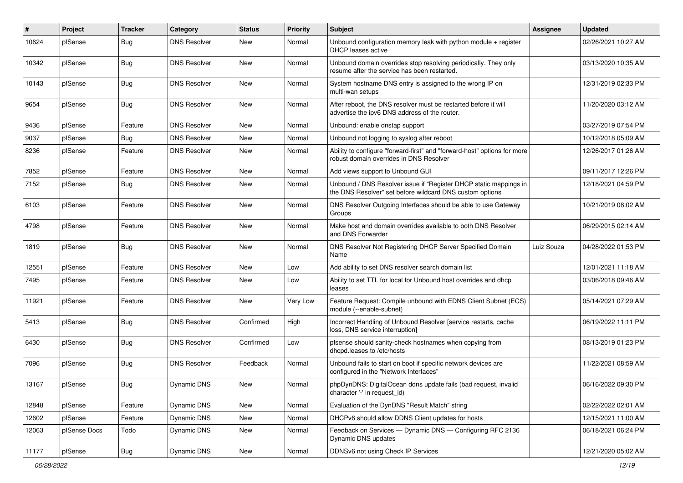| $\vert$ # | Project      | <b>Tracker</b> | Category            | <b>Status</b> | <b>Priority</b> | Subject                                                                                                                       | <b>Assignee</b> | <b>Updated</b>      |
|-----------|--------------|----------------|---------------------|---------------|-----------------|-------------------------------------------------------------------------------------------------------------------------------|-----------------|---------------------|
| 10624     | pfSense      | Bug            | <b>DNS Resolver</b> | New           | Normal          | Unbound configuration memory leak with python module + register<br><b>DHCP</b> leases active                                  |                 | 02/26/2021 10:27 AM |
| 10342     | pfSense      | Bug            | <b>DNS Resolver</b> | New           | Normal          | Unbound domain overrides stop resolving periodically. They only<br>resume after the service has been restarted.               |                 | 03/13/2020 10:35 AM |
| 10143     | pfSense      | Bug            | <b>DNS Resolver</b> | New           | Normal          | System hostname DNS entry is assigned to the wrong IP on<br>multi-wan setups                                                  |                 | 12/31/2019 02:33 PM |
| 9654      | pfSense      | Bug            | <b>DNS Resolver</b> | New           | Normal          | After reboot, the DNS resolver must be restarted before it will<br>advertise the ipv6 DNS address of the router.              |                 | 11/20/2020 03:12 AM |
| 9436      | pfSense      | Feature        | <b>DNS Resolver</b> | New           | Normal          | Unbound: enable dnstap support                                                                                                |                 | 03/27/2019 07:54 PM |
| 9037      | pfSense      | Bug            | <b>DNS Resolver</b> | New           | Normal          | Unbound not logging to syslog after reboot                                                                                    |                 | 10/12/2018 05:09 AM |
| 8236      | pfSense      | Feature        | <b>DNS Resolver</b> | New           | Normal          | Ability to configure "forward-first" and "forward-host" options for more<br>robust domain overrides in DNS Resolver           |                 | 12/26/2017 01:26 AM |
| 7852      | pfSense      | Feature        | <b>DNS Resolver</b> | New           | Normal          | Add views support to Unbound GUI                                                                                              |                 | 09/11/2017 12:26 PM |
| 7152      | pfSense      | Bug            | <b>DNS Resolver</b> | New           | Normal          | Unbound / DNS Resolver issue if "Register DHCP static mappings in<br>the DNS Resolver" set before wildcard DNS custom options |                 | 12/18/2021 04:59 PM |
| 6103      | pfSense      | Feature        | <b>DNS Resolver</b> | New           | Normal          | DNS Resolver Outgoing Interfaces should be able to use Gateway<br>Groups                                                      |                 | 10/21/2019 08:02 AM |
| 4798      | pfSense      | Feature        | <b>DNS Resolver</b> | New           | Normal          | Make host and domain overrides available to both DNS Resolver<br>and DNS Forwarder                                            |                 | 06/29/2015 02:14 AM |
| 1819      | pfSense      | Bug            | <b>DNS Resolver</b> | New           | Normal          | DNS Resolver Not Registering DHCP Server Specified Domain<br>Name                                                             | Luiz Souza      | 04/28/2022 01:53 PM |
| 12551     | pfSense      | Feature        | <b>DNS Resolver</b> | New           | Low             | Add ability to set DNS resolver search domain list                                                                            |                 | 12/01/2021 11:18 AM |
| 7495      | pfSense      | Feature        | <b>DNS Resolver</b> | New           | Low             | Ability to set TTL for local for Unbound host overrides and dhcp<br>leases                                                    |                 | 03/06/2018 09:46 AM |
| 11921     | pfSense      | Feature        | <b>DNS Resolver</b> | New           | Very Low        | Feature Request: Compile unbound with EDNS Client Subnet (ECS)<br>module (--enable-subnet)                                    |                 | 05/14/2021 07:29 AM |
| 5413      | pfSense      | Bug            | <b>DNS Resolver</b> | Confirmed     | High            | Incorrect Handling of Unbound Resolver [service restarts, cache<br>loss, DNS service interruption]                            |                 | 06/19/2022 11:11 PM |
| 6430      | pfSense      | Bug            | <b>DNS Resolver</b> | Confirmed     | Low             | pfsense should sanity-check hostnames when copying from<br>dhcpd.leases to /etc/hosts                                         |                 | 08/13/2019 01:23 PM |
| 7096      | pfSense      | Bug            | <b>DNS Resolver</b> | Feedback      | Normal          | Unbound fails to start on boot if specific network devices are<br>configured in the "Network Interfaces"                      |                 | 11/22/2021 08:59 AM |
| 13167     | pfSense      | Bug            | Dynamic DNS         | New           | Normal          | phpDynDNS: DigitalOcean ddns update fails (bad request, invalid<br>character '-' in request_id)                               |                 | 06/16/2022 09:30 PM |
| 12848     | pfSense      | Feature        | Dynamic DNS         | New           | Normal          | Evaluation of the DynDNS "Result Match" string                                                                                |                 | 02/22/2022 02:01 AM |
| 12602     | pfSense      | Feature        | Dynamic DNS         | New           | Normal          | DHCPv6 should allow DDNS Client updates for hosts                                                                             |                 | 12/15/2021 11:00 AM |
| 12063     | pfSense Docs | Todo           | Dynamic DNS         | New           | Normal          | Feedback on Services - Dynamic DNS - Configuring RFC 2136<br>Dynamic DNS updates                                              |                 | 06/18/2021 06:24 PM |
| 11177     | pfSense      | Bug            | Dynamic DNS         | New           | Normal          | DDNSv6 not using Check IP Services                                                                                            |                 | 12/21/2020 05:02 AM |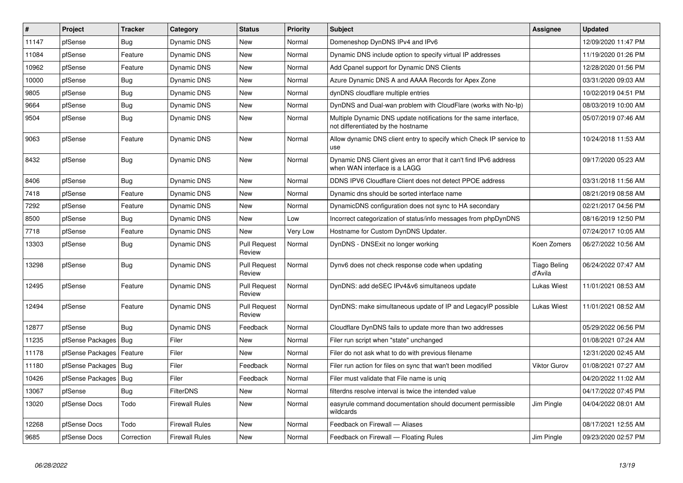| #     | Project          | <b>Tracker</b> | Category              | <b>Status</b>                 | <b>Priority</b> | <b>Subject</b>                                                                                          | Assignee                       | <b>Updated</b>      |
|-------|------------------|----------------|-----------------------|-------------------------------|-----------------|---------------------------------------------------------------------------------------------------------|--------------------------------|---------------------|
| 11147 | pfSense          | <b>Bug</b>     | <b>Dynamic DNS</b>    | <b>New</b>                    | Normal          | Domeneshop DynDNS IPv4 and IPv6                                                                         |                                | 12/09/2020 11:47 PM |
| 11084 | pfSense          | Feature        | Dynamic DNS           | <b>New</b>                    | Normal          | Dynamic DNS include option to specify virtual IP addresses                                              |                                | 11/19/2020 01:26 PM |
| 10962 | pfSense          | Feature        | Dynamic DNS           | <b>New</b>                    | Normal          | Add Cpanel support for Dynamic DNS Clients                                                              |                                | 12/28/2020 01:56 PM |
| 10000 | pfSense          | Bug            | Dynamic DNS           | <b>New</b>                    | Normal          | Azure Dynamic DNS A and AAAA Records for Apex Zone                                                      |                                | 03/31/2020 09:03 AM |
| 9805  | pfSense          | <b>Bug</b>     | <b>Dynamic DNS</b>    | <b>New</b>                    | Normal          | dynDNS cloudflare multiple entries                                                                      |                                | 10/02/2019 04:51 PM |
| 9664  | pfSense          | Bug            | Dynamic DNS           | <b>New</b>                    | Normal          | DynDNS and Dual-wan problem with CloudFlare (works with No-Ip)                                          |                                | 08/03/2019 10:00 AM |
| 9504  | pfSense          | <b>Bug</b>     | Dynamic DNS           | <b>New</b>                    | Normal          | Multiple Dynamic DNS update notifications for the same interface,<br>not differentiated by the hostname |                                | 05/07/2019 07:46 AM |
| 9063  | pfSense          | Feature        | Dynamic DNS           | <b>New</b>                    | Normal          | Allow dynamic DNS client entry to specify which Check IP service to<br>use                              |                                | 10/24/2018 11:53 AM |
| 8432  | pfSense          | Bug            | Dynamic DNS           | <b>New</b>                    | Normal          | Dynamic DNS Client gives an error that it can't find IPv6 address<br>when WAN interface is a LAGG       |                                | 09/17/2020 05:23 AM |
| 8406  | pfSense          | Bug            | Dynamic DNS           | New                           | Normal          | DDNS IPV6 Cloudflare Client does not detect PPOE address                                                |                                | 03/31/2018 11:56 AM |
| 7418  | pfSense          | Feature        | Dynamic DNS           | <b>New</b>                    | Normal          | Dynamic dns should be sorted interface name                                                             |                                | 08/21/2019 08:58 AM |
| 7292  | pfSense          | Feature        | Dynamic DNS           | <b>New</b>                    | Normal          | DynamicDNS configuration does not sync to HA secondary                                                  |                                | 02/21/2017 04:56 PM |
| 8500  | pfSense          | Bug            | Dynamic DNS           | <b>New</b>                    | Low             | Incorrect categorization of status/info messages from phpDynDNS                                         |                                | 08/16/2019 12:50 PM |
| 7718  | pfSense          | Feature        | Dynamic DNS           | New                           | Very Low        | Hostname for Custom DynDNS Updater.                                                                     |                                | 07/24/2017 10:05 AM |
| 13303 | pfSense          | Bug            | Dynamic DNS           | <b>Pull Request</b><br>Review | Normal          | DynDNS - DNSExit no longer working                                                                      | Koen Zomers                    | 06/27/2022 10:56 AM |
| 13298 | pfSense          | Bug            | Dynamic DNS           | <b>Pull Request</b><br>Review | Normal          | Dynv6 does not check response code when updating                                                        | <b>Tiago Beling</b><br>d'Avila | 06/24/2022 07:47 AM |
| 12495 | pfSense          | Feature        | Dynamic DNS           | <b>Pull Request</b><br>Review | Normal          | DynDNS: add deSEC IPv4&v6 simultaneos update                                                            | Lukas Wiest                    | 11/01/2021 08:53 AM |
| 12494 | pfSense          | Feature        | Dynamic DNS           | <b>Pull Request</b><br>Review | Normal          | DynDNS: make simultaneous update of IP and LegacyIP possible                                            | Lukas Wiest                    | 11/01/2021 08:52 AM |
| 12877 | pfSense          | Bug            | Dynamic DNS           | Feedback                      | Normal          | Cloudflare DynDNS fails to update more than two addresses                                               |                                | 05/29/2022 06:56 PM |
| 11235 | pfSense Packages | <b>Bug</b>     | Filer                 | <b>New</b>                    | Normal          | Filer run script when "state" unchanged                                                                 |                                | 01/08/2021 07:24 AM |
| 11178 | pfSense Packages | Feature        | Filer                 | <b>New</b>                    | Normal          | Filer do not ask what to do with previous filename                                                      |                                | 12/31/2020 02:45 AM |
| 11180 | pfSense Packages | Bug            | Filer                 | Feedback                      | Normal          | Filer run action for files on sync that wan't been modified                                             | <b>Viktor Gurov</b>            | 01/08/2021 07:27 AM |
| 10426 | pfSense Packages | Bug            | Filer                 | Feedback                      | Normal          | Filer must validate that File name is unig                                                              |                                | 04/20/2022 11:02 AM |
| 13067 | pfSense          | Bug            | <b>FilterDNS</b>      | <b>New</b>                    | Normal          | filterdns resolve interval is twice the intended value                                                  |                                | 04/17/2022 07:45 PM |
| 13020 | pfSense Docs     | Todo           | <b>Firewall Rules</b> | <b>New</b>                    | Normal          | easyrule command documentation should document permissible<br>wildcards                                 | Jim Pingle                     | 04/04/2022 08:01 AM |
| 12268 | pfSense Docs     | Todo           | <b>Firewall Rules</b> | <b>New</b>                    | Normal          | Feedback on Firewall - Aliases                                                                          |                                | 08/17/2021 12:55 AM |
| 9685  | pfSense Docs     | Correction     | <b>Firewall Rules</b> | New                           | Normal          | Feedback on Firewall - Floating Rules                                                                   | Jim Pingle                     | 09/23/2020 02:57 PM |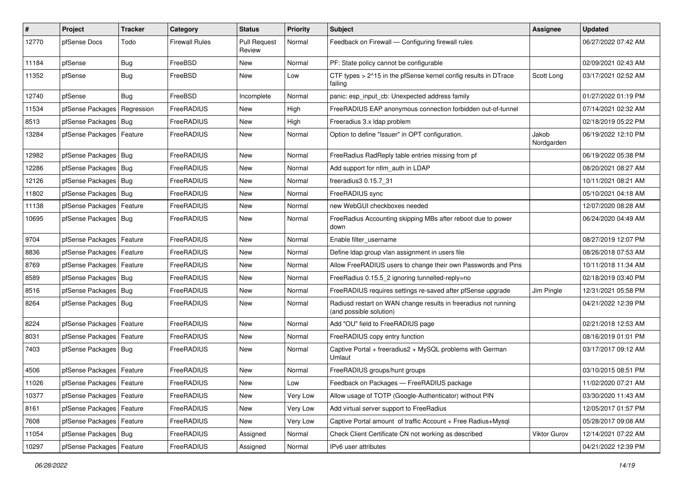| $\pmb{\#}$ | Project                       | <b>Tracker</b> | Category              | <b>Status</b>                 | <b>Priority</b> | <b>Subject</b>                                                                             | <b>Assignee</b>     | <b>Updated</b>      |
|------------|-------------------------------|----------------|-----------------------|-------------------------------|-----------------|--------------------------------------------------------------------------------------------|---------------------|---------------------|
| 12770      | pfSense Docs                  | Todo           | <b>Firewall Rules</b> | <b>Pull Request</b><br>Review | Normal          | Feedback on Firewall - Configuring firewall rules                                          |                     | 06/27/2022 07:42 AM |
| 11184      | pfSense                       | <b>Bug</b>     | FreeBSD               | New                           | Normal          | PF: State policy cannot be configurable                                                    |                     | 02/09/2021 02:43 AM |
| 11352      | pfSense                       | <b>Bug</b>     | FreeBSD               | New                           | Low             | CTF types > 2^15 in the pfSense kernel config results in DTrace<br>failing                 | Scott Long          | 03/17/2021 02:52 AM |
| 12740      | pfSense                       | Bug            | FreeBSD               | Incomplete                    | Normal          | panic: esp input cb: Unexpected address family                                             |                     | 01/27/2022 01:19 PM |
| 11534      | pfSense Packages   Regression |                | FreeRADIUS            | New                           | High            | FreeRADIUS EAP anonymous connection forbidden out-of-tunnel                                |                     | 07/14/2021 02:32 AM |
| 8513       | pfSense Packages              | Bug            | FreeRADIUS            | New                           | High            | Freeradius 3.x Idap problem                                                                |                     | 02/18/2019 05:22 PM |
| 13284      | pfSense Packages   Feature    |                | FreeRADIUS            | New                           | Normal          | Option to define "Issuer" in OPT configuration.                                            | Jakob<br>Nordgarden | 06/19/2022 12:10 PM |
| 12982      | pfSense Packages   Bug        |                | FreeRADIUS            | New                           | Normal          | FreeRadius RadReply table entries missing from pf                                          |                     | 06/19/2022 05:38 PM |
| 12286      | pfSense Packages   Bug        |                | FreeRADIUS            | New                           | Normal          | Add support for ntlm_auth in LDAP                                                          |                     | 08/20/2021 08:27 AM |
| 12126      | pfSense Packages   Bug        |                | FreeRADIUS            | New                           | Normal          | freeradius3 0.15.7 31                                                                      |                     | 10/11/2021 08:21 AM |
| 11802      | pfSense Packages   Bug        |                | FreeRADIUS            | New                           | Normal          | FreeRADIUS sync                                                                            |                     | 05/10/2021 04:18 AM |
| 11138      | pfSense Packages   Feature    |                | FreeRADIUS            | New                           | Normal          | new WebGUI checkboxes needed                                                               |                     | 12/07/2020 08:28 AM |
| 10695      | pfSense Packages   Bug        |                | FreeRADIUS            | New                           | Normal          | FreeRadius Accounting skipping MBs after reboot due to power<br>down                       |                     | 06/24/2020 04:49 AM |
| 9704       | pfSense Packages   Feature    |                | FreeRADIUS            | <b>New</b>                    | Normal          | Enable filter_username                                                                     |                     | 08/27/2019 12:07 PM |
| 8836       | pfSense Packages   Feature    |                | FreeRADIUS            | New                           | Normal          | Define Idap group vlan assignment in users file                                            |                     | 08/26/2018 07:53 AM |
| 8769       | pfSense Packages   Feature    |                | FreeRADIUS            | New                           | Normal          | Allow FreeRADIUS users to change their own Passwords and Pins                              |                     | 10/11/2018 11:34 AM |
| 8589       | pfSense Packages              | Bug            | FreeRADIUS            | New                           | Normal          | FreeRadius 0.15.5_2 ignoring tunnelled-reply=no                                            |                     | 02/18/2019 03:40 PM |
| 8516       | pfSense Packages   Bug        |                | FreeRADIUS            | New                           | Normal          | FreeRADIUS requires settings re-saved after pfSense upgrade                                | Jim Pingle          | 12/31/2021 05:58 PM |
| 8264       | pfSense Packages   Bug        |                | FreeRADIUS            | New                           | Normal          | Radiusd restart on WAN change results in freeradius not running<br>(and possible solution) |                     | 04/21/2022 12:39 PM |
| 8224       | pfSense Packages   Feature    |                | FreeRADIUS            | New                           | Normal          | Add "OU" field to FreeRADIUS page                                                          |                     | 02/21/2018 12:53 AM |
| 8031       | pfSense Packages   Feature    |                | FreeRADIUS            | New                           | Normal          | FreeRADIUS copy entry function                                                             |                     | 08/16/2019 01:01 PM |
| 7403       | pfSense Packages   Bug        |                | FreeRADIUS            | New                           | Normal          | Captive Portal + freeradius2 + MySQL problems with German<br>Umlaut                        |                     | 03/17/2017 09:12 AM |
| 4506       | pfSense Packages   Feature    |                | FreeRADIUS            | New                           | Normal          | FreeRADIUS groups/hunt groups                                                              |                     | 03/10/2015 08:51 PM |
| 11026      | pfSense Packages   Feature    |                | FreeRADIUS            | New                           | Low             | Feedback on Packages - FreeRADIUS package                                                  |                     | 11/02/2020 07:21 AM |
| 10377      | pfSense Packages   Feature    |                | FreeRADIUS            | New                           | Very Low        | Allow usage of TOTP (Google-Authenticator) without PIN                                     |                     | 03/30/2020 11:43 AM |
| 8161       | pfSense Packages              | Feature        | FreeRADIUS            | New                           | Very Low        | Add virtual server support to FreeRadius                                                   |                     | 12/05/2017 01:57 PM |
| 7608       | pfSense Packages   Feature    |                | FreeRADIUS            | New                           | Very Low        | Captive Portal amount of traffic Account + Free Radius+Mysql                               |                     | 05/28/2017 09:08 AM |
| 11054      | pfSense Packages   Bug        |                | FreeRADIUS            | Assigned                      | Normal          | Check Client Certificate CN not working as described                                       | Viktor Gurov        | 12/14/2021 07:22 AM |
| 10297      | pfSense Packages   Feature    |                | FreeRADIUS            | Assigned                      | Normal          | IPv6 user attributes                                                                       |                     | 04/21/2022 12:39 PM |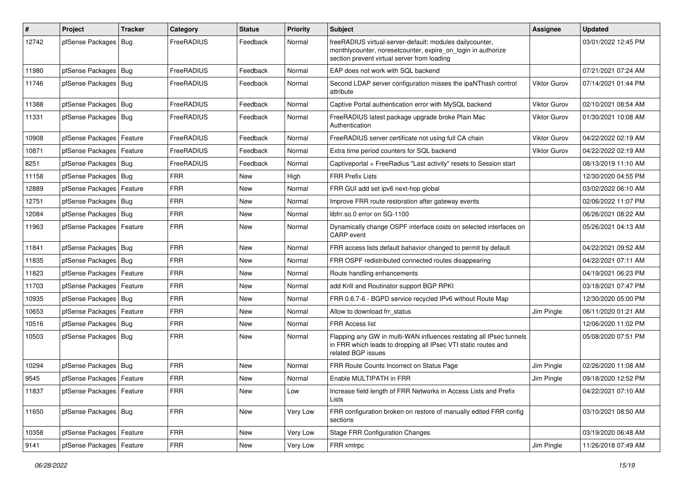| #     | Project                    | <b>Tracker</b> | Category   | <b>Status</b> | <b>Priority</b> | Subject                                                                                                                                                                 | Assignee            | <b>Updated</b>      |
|-------|----------------------------|----------------|------------|---------------|-----------------|-------------------------------------------------------------------------------------------------------------------------------------------------------------------------|---------------------|---------------------|
| 12742 | pfSense Packages   Bug     |                | FreeRADIUS | Feedback      | Normal          | freeRADIUS virtual-server-default: modules dailycounter,<br>monthlycounter, noresetcounter, expire_on_login in authorize<br>section prevent virtual server from loading |                     | 03/01/2022 12:45 PM |
| 11980 | pfSense Packages   Bug     |                | FreeRADIUS | Feedback      | Normal          | EAP does not work with SQL backend                                                                                                                                      |                     | 07/21/2021 07:24 AM |
| 11746 | pfSense Packages   Bug     |                | FreeRADIUS | Feedback      | Normal          | Second LDAP server configuration misses the ipaNThash control<br>attribute                                                                                              | Viktor Gurov        | 07/14/2021 01:44 PM |
| 11388 | pfSense Packages   Bug     |                | FreeRADIUS | Feedback      | Normal          | Captive Portal authentication error with MySQL backend                                                                                                                  | <b>Viktor Gurov</b> | 02/10/2021 08:54 AM |
| 11331 | pfSense Packages   Bug     |                | FreeRADIUS | Feedback      | Normal          | FreeRADIUS latest package upgrade broke Plain Mac<br>Authentication                                                                                                     | <b>Viktor Gurov</b> | 01/30/2021 10:08 AM |
| 10908 | pfSense Packages   Feature |                | FreeRADIUS | Feedback      | Normal          | FreeRADIUS server certificate not using full CA chain                                                                                                                   | Viktor Gurov        | 04/22/2022 02:19 AM |
| 10871 | pfSense Packages   Feature |                | FreeRADIUS | Feedback      | Normal          | Extra time period counters for SQL backend                                                                                                                              | Viktor Gurov        | 04/22/2022 02:19 AM |
| 8251  | pfSense Packages   Bug     |                | FreeRADIUS | Feedback      | Normal          | Captiveportal + FreeRadius "Last activity" resets to Session start                                                                                                      |                     | 08/13/2019 11:10 AM |
| 11158 | pfSense Packages   Bug     |                | <b>FRR</b> | <b>New</b>    | High            | <b>FRR Prefix Lists</b>                                                                                                                                                 |                     | 12/30/2020 04:55 PM |
| 12889 | pfSense Packages   Feature |                | FRR        | <b>New</b>    | Normal          | FRR GUI add set ipv6 next-hop global                                                                                                                                    |                     | 03/02/2022 06:10 AM |
| 12751 | pfSense Packages   Bug     |                | <b>FRR</b> | New           | Normal          | Improve FRR route restoration after gateway events                                                                                                                      |                     | 02/06/2022 11:07 PM |
| 12084 | pfSense Packages   Bug     |                | <b>FRR</b> | New           | Normal          | libfrr.so.0 error on SG-1100                                                                                                                                            |                     | 06/26/2021 08:22 AM |
| 11963 | pfSense Packages   Feature |                | <b>FRR</b> | New           | Normal          | Dynamically change OSPF interface costs on selected interfaces on<br>CARP event                                                                                         |                     | 05/26/2021 04:13 AM |
| 11841 | pfSense Packages   Bug     |                | <b>FRR</b> | <b>New</b>    | Normal          | FRR access lists default bahavior changed to permit by default                                                                                                          |                     | 04/22/2021 09:52 AM |
| 11835 | pfSense Packages   Bug     |                | <b>FRR</b> | New           | Normal          | FRR OSPF redistributed connected routes disappearing                                                                                                                    |                     | 04/22/2021 07:11 AM |
| 11823 | pfSense Packages   Feature |                | <b>FRR</b> | <b>New</b>    | Normal          | Route handling enhancements                                                                                                                                             |                     | 04/19/2021 06:23 PM |
| 11703 | pfSense Packages   Feature |                | <b>FRR</b> | New           | Normal          | add Krill and Routinator support BGP RPKI                                                                                                                               |                     | 03/18/2021 07:47 PM |
| 10935 | pfSense Packages   Bug     |                | <b>FRR</b> | <b>New</b>    | Normal          | FRR 0.6.7-6 - BGPD service recycled IPv6 without Route Map                                                                                                              |                     | 12/30/2020 05:00 PM |
| 10653 | pfSense Packages   Feature |                | <b>FRR</b> | New           | Normal          | Allow to download frr status                                                                                                                                            | Jim Pingle          | 06/11/2020 01:21 AM |
| 10516 | pfSense Packages   Bug     |                | <b>FRR</b> | <b>New</b>    | Normal          | <b>FRR Access list</b>                                                                                                                                                  |                     | 12/06/2020 11:02 PM |
| 10503 | pfSense Packages   Bug     |                | <b>FRR</b> | New           | Normal          | Flapping any GW in multi-WAN influences restating all IPsec tunnels<br>in FRR which leads to dropping all IPsec VTI static routes and<br>related BGP issues             |                     | 05/08/2020 07:51 PM |
| 10294 | pfSense Packages   Bug     |                | <b>FRR</b> | <b>New</b>    | Normal          | FRR Route Counts Incorrect on Status Page                                                                                                                               | Jim Pingle          | 02/26/2020 11:08 AM |
| 9545  | pfSense Packages   Feature |                | <b>FRR</b> | New           | Normal          | Enable MULTIPATH in FRR                                                                                                                                                 | Jim Pingle          | 09/18/2020 12:52 PM |
| 11837 | pfSense Packages   Feature |                | <b>FRR</b> | New           | Low             | Increase field length of FRR Networks in Access Lists and Prefix<br>Lists                                                                                               |                     | 04/22/2021 07:10 AM |
| 11650 | pfSense Packages   Bug     |                | <b>FRR</b> | New           | Very Low        | FRR configuration broken on restore of manually edited FRR config<br>sections                                                                                           |                     | 03/10/2021 08:50 AM |
| 10358 | pfSense Packages   Feature |                | <b>FRR</b> | New           | Very Low        | <b>Stage FRR Configuration Changes</b>                                                                                                                                  |                     | 03/19/2020 06:48 AM |
| 9141  | pfSense Packages   Feature |                | <b>FRR</b> | New           | Very Low        | FRR xmlrpc                                                                                                                                                              | Jim Pingle          | 11/26/2018 07:49 AM |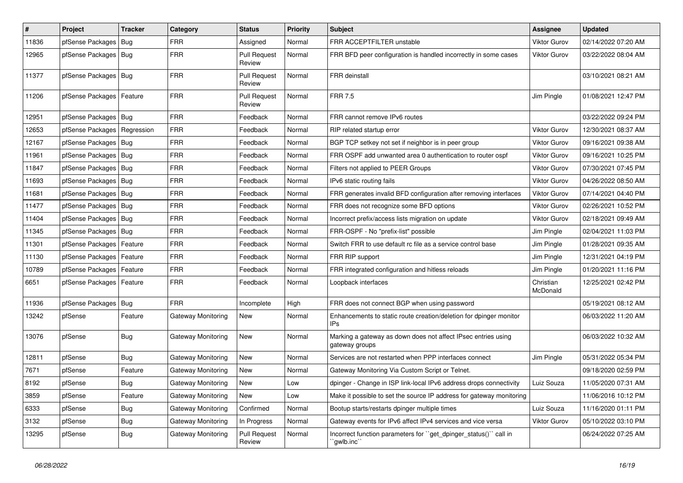| $\vert$ # | Project                       | <b>Tracker</b> | Category                  | <b>Status</b>                 | <b>Priority</b> | Subject                                                                         | <b>Assignee</b>       | <b>Updated</b>      |
|-----------|-------------------------------|----------------|---------------------------|-------------------------------|-----------------|---------------------------------------------------------------------------------|-----------------------|---------------------|
| 11836     | pfSense Packages              | Bug            | FRR                       | Assigned                      | Normal          | FRR ACCEPTFILTER unstable                                                       | <b>Viktor Gurov</b>   | 02/14/2022 07:20 AM |
| 12965     | pfSense Packages   Bug        |                | <b>FRR</b>                | <b>Pull Request</b><br>Review | Normal          | FRR BFD peer configuration is handled incorrectly in some cases                 | <b>Viktor Gurov</b>   | 03/22/2022 08:04 AM |
| 11377     | pfSense Packages   Bug        |                | <b>FRR</b>                | <b>Pull Request</b><br>Review | Normal          | FRR deinstall                                                                   |                       | 03/10/2021 08:21 AM |
| 11206     | pfSense Packages   Feature    |                | <b>FRR</b>                | <b>Pull Request</b><br>Review | Normal          | <b>FRR 7.5</b>                                                                  | Jim Pingle            | 01/08/2021 12:47 PM |
| 12951     | pfSense Packages   Bug        |                | <b>FRR</b>                | Feedback                      | Normal          | FRR cannot remove IPv6 routes                                                   |                       | 03/22/2022 09:24 PM |
| 12653     | pfSense Packages   Regression |                | <b>FRR</b>                | Feedback                      | Normal          | RIP related startup error                                                       | <b>Viktor Gurov</b>   | 12/30/2021 08:37 AM |
| 12167     | pfSense Packages   Bug        |                | <b>FRR</b>                | Feedback                      | Normal          | BGP TCP setkey not set if neighbor is in peer group                             | <b>Viktor Gurov</b>   | 09/16/2021 09:38 AM |
| 11961     | pfSense Packages   Bug        |                | <b>FRR</b>                | Feedback                      | Normal          | FRR OSPF add unwanted area 0 authentication to router ospf                      | Viktor Gurov          | 09/16/2021 10:25 PM |
| 11847     | pfSense Packages   Bug        |                | <b>FRR</b>                | Feedback                      | Normal          | Filters not applied to PEER Groups                                              | <b>Viktor Gurov</b>   | 07/30/2021 07:45 PM |
| 11693     | pfSense Packages   Bug        |                | <b>FRR</b>                | Feedback                      | Normal          | IPv6 static routing fails                                                       | Viktor Gurov          | 04/26/2022 08:50 AM |
| 11681     | pfSense Packages   Bug        |                | <b>FRR</b>                | Feedback                      | Normal          | FRR generates invalid BFD configuration after removing interfaces               | <b>Viktor Gurov</b>   | 07/14/2021 04:40 PM |
| 11477     | pfSense Packages   Bug        |                | <b>FRR</b>                | Feedback                      | Normal          | FRR does not recognize some BFD options                                         | <b>Viktor Gurov</b>   | 02/26/2021 10:52 PM |
| 11404     | pfSense Packages   Bug        |                | <b>FRR</b>                | Feedback                      | Normal          | Incorrect prefix/access lists migration on update                               | <b>Viktor Gurov</b>   | 02/18/2021 09:49 AM |
| 11345     | pfSense Packages   Bug        |                | <b>FRR</b>                | Feedback                      | Normal          | FRR-OSPF - No "prefix-list" possible                                            | Jim Pingle            | 02/04/2021 11:03 PM |
| 11301     | pfSense Packages   Feature    |                | <b>FRR</b>                | Feedback                      | Normal          | Switch FRR to use default rc file as a service control base                     | Jim Pingle            | 01/28/2021 09:35 AM |
| 11130     | pfSense Packages   Feature    |                | <b>FRR</b>                | Feedback                      | Normal          | FRR RIP support                                                                 | Jim Pingle            | 12/31/2021 04:19 PM |
| 10789     | pfSense Packages   Feature    |                | <b>FRR</b>                | Feedback                      | Normal          | FRR integrated configuration and hitless reloads                                | Jim Pingle            | 01/20/2021 11:16 PM |
| 6651      | pfSense Packages   Feature    |                | <b>FRR</b>                | Feedback                      | Normal          | Loopback interfaces                                                             | Christian<br>McDonald | 12/25/2021 02:42 PM |
| 11936     | pfSense Packages   Bug        |                | <b>FRR</b>                | Incomplete                    | High            | FRR does not connect BGP when using password                                    |                       | 05/19/2021 08:12 AM |
| 13242     | pfSense                       | Feature        | Gateway Monitoring        | New                           | Normal          | Enhancements to static route creation/deletion for dpinger monitor<br>IPs       |                       | 06/03/2022 11:20 AM |
| 13076     | pfSense                       | Bug            | Gateway Monitoring        | <b>New</b>                    | Normal          | Marking a gateway as down does not affect IPsec entries using<br>gateway groups |                       | 06/03/2022 10:32 AM |
| 12811     | pfSense                       | <b>Bug</b>     | Gateway Monitoring        | <b>New</b>                    | Normal          | Services are not restarted when PPP interfaces connect                          | Jim Pingle            | 05/31/2022 05:34 PM |
| 7671      | pfSense                       | Feature        | <b>Gateway Monitoring</b> | New                           | Normal          | Gateway Monitoring Via Custom Script or Telnet.                                 |                       | 09/18/2020 02:59 PM |
| 8192      | pfSense                       | Bug            | Gateway Monitoring        | New                           | Low             | dpinger - Change in ISP link-local IPv6 address drops connectivity              | Luiz Souza            | 11/05/2020 07:31 AM |
| 3859      | pfSense                       | Feature        | Gateway Monitoring        | New                           | Low             | Make it possible to set the source IP address for gateway monitoring            |                       | 11/06/2016 10:12 PM |
| 6333      | pfSense                       | <b>Bug</b>     | Gateway Monitoring        | Confirmed                     | Normal          | Bootup starts/restarts dpinger multiple times                                   | Luiz Souza            | 11/16/2020 01:11 PM |
| 3132      | pfSense                       | <b>Bug</b>     | Gateway Monitoring        | In Progress                   | Normal          | Gateway events for IPv6 affect IPv4 services and vice versa                     | Viktor Gurov          | 05/10/2022 03:10 PM |
| 13295     | pfSense                       | Bug            | Gateway Monitoring        | <b>Pull Request</b><br>Review | Normal          | Incorrect function parameters for "get_dpinger_status()" call in<br>`gwlb.inc`` |                       | 06/24/2022 07:25 AM |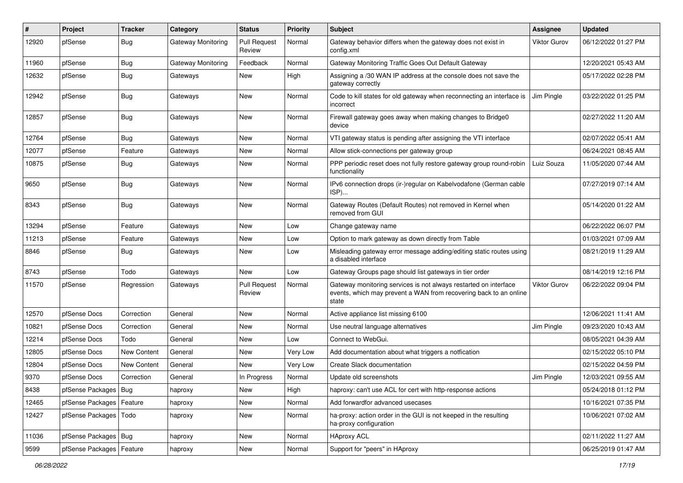| $\#$  | Project                    | <b>Tracker</b> | Category           | <b>Status</b>                 | <b>Priority</b> | <b>Subject</b>                                                                                                                                 | <b>Assignee</b>     | <b>Updated</b>      |
|-------|----------------------------|----------------|--------------------|-------------------------------|-----------------|------------------------------------------------------------------------------------------------------------------------------------------------|---------------------|---------------------|
| 12920 | pfSense                    | <b>Bug</b>     | Gateway Monitoring | <b>Pull Request</b><br>Review | Normal          | Gateway behavior differs when the gateway does not exist in<br>config.xml                                                                      | <b>Viktor Gurov</b> | 06/12/2022 01:27 PM |
| 11960 | pfSense                    | <b>Bug</b>     | Gateway Monitoring | Feedback                      | Normal          | Gateway Monitoring Traffic Goes Out Default Gateway                                                                                            |                     | 12/20/2021 05:43 AM |
| 12632 | pfSense                    | Bug            | Gateways           | New                           | High            | Assigning a /30 WAN IP address at the console does not save the<br>gateway correctly                                                           |                     | 05/17/2022 02:28 PM |
| 12942 | pfSense                    | Bug            | Gateways           | New                           | Normal          | Code to kill states for old gateway when reconnecting an interface is<br>incorrect                                                             | Jim Pingle          | 03/22/2022 01:25 PM |
| 12857 | pfSense                    | Bug            | Gateways           | <b>New</b>                    | Normal          | Firewall gateway goes away when making changes to Bridge0<br>device                                                                            |                     | 02/27/2022 11:20 AM |
| 12764 | pfSense                    | Bug            | Gateways           | <b>New</b>                    | Normal          | VTI gateway status is pending after assigning the VTI interface                                                                                |                     | 02/07/2022 05:41 AM |
| 12077 | pfSense                    | Feature        | Gateways           | New                           | Normal          | Allow stick-connections per gateway group                                                                                                      |                     | 06/24/2021 08:45 AM |
| 10875 | pfSense                    | Bug            | Gateways           | New                           | Normal          | PPP periodic reset does not fully restore gateway group round-robin<br>functionality                                                           | Luiz Souza          | 11/05/2020 07:44 AM |
| 9650  | pfSense                    | Bug            | Gateways           | New                           | Normal          | IPv6 connection drops (ir-)regular on Kabelvodafone (German cable<br>ISP)                                                                      |                     | 07/27/2019 07:14 AM |
| 8343  | pfSense                    | Bug            | Gateways           | <b>New</b>                    | Normal          | Gateway Routes (Default Routes) not removed in Kernel when<br>removed from GUI                                                                 |                     | 05/14/2020 01:22 AM |
| 13294 | pfSense                    | Feature        | Gateways           | New                           | Low             | Change gateway name                                                                                                                            |                     | 06/22/2022 06:07 PM |
| 11213 | pfSense                    | Feature        | Gateways           | New                           | Low             | Option to mark gateway as down directly from Table                                                                                             |                     | 01/03/2021 07:09 AM |
| 8846  | pfSense                    | Bug            | Gateways           | New                           | Low             | Misleading gateway error message adding/editing static routes using<br>a disabled interface                                                    |                     | 08/21/2019 11:29 AM |
| 8743  | pfSense                    | Todo           | Gateways           | New                           | Low             | Gateway Groups page should list gateways in tier order                                                                                         |                     | 08/14/2019 12:16 PM |
| 11570 | pfSense                    | Regression     | Gateways           | <b>Pull Request</b><br>Review | Normal          | Gateway monitoring services is not always restarted on interface<br>events, which may prevent a WAN from recovering back to an online<br>state | Viktor Gurov        | 06/22/2022 09:04 PM |
| 12570 | pfSense Docs               | Correction     | General            | New                           | Normal          | Active appliance list missing 6100                                                                                                             |                     | 12/06/2021 11:41 AM |
| 10821 | pfSense Docs               | Correction     | General            | New                           | Normal          | Use neutral language alternatives                                                                                                              | Jim Pingle          | 09/23/2020 10:43 AM |
| 12214 | pfSense Docs               | Todo           | General            | New                           | Low             | Connect to WebGui.                                                                                                                             |                     | 08/05/2021 04:39 AM |
| 12805 | pfSense Docs               | New Content    | General            | New                           | Very Low        | Add documentation about what triggers a notfication                                                                                            |                     | 02/15/2022 05:10 PM |
| 12804 | pfSense Docs               | New Content    | General            | New                           | Very Low        | Create Slack documentation                                                                                                                     |                     | 02/15/2022 04:59 PM |
| 9370  | pfSense Docs               | Correction     | General            | In Progress                   | Normal          | Update old screenshots                                                                                                                         | Jim Pingle          | 12/03/2021 09:55 AM |
| 8438  | pfSense Packages   Bug     |                | haproxy            | New                           | High            | haproxy: can't use ACL for cert with http-response actions                                                                                     |                     | 05/24/2018 01:12 PM |
| 12465 | pfSense Packages   Feature |                | haproxy            | New                           | Normal          | Add forwardfor advanced usecases                                                                                                               |                     | 10/16/2021 07:35 PM |
| 12427 | pfSense Packages   Todo    |                | haproxy            | New                           | Normal          | ha-proxy: action order in the GUI is not keeped in the resulting<br>ha-proxy configuration                                                     |                     | 10/06/2021 07:02 AM |
| 11036 | pfSense Packages   Bug     |                | haproxy            | New                           | Normal          | <b>HAproxy ACL</b>                                                                                                                             |                     | 02/11/2022 11:27 AM |
| 9599  | pfSense Packages   Feature |                | haproxy            | New                           | Normal          | Support for "peers" in HAproxy                                                                                                                 |                     | 06/25/2019 01:47 AM |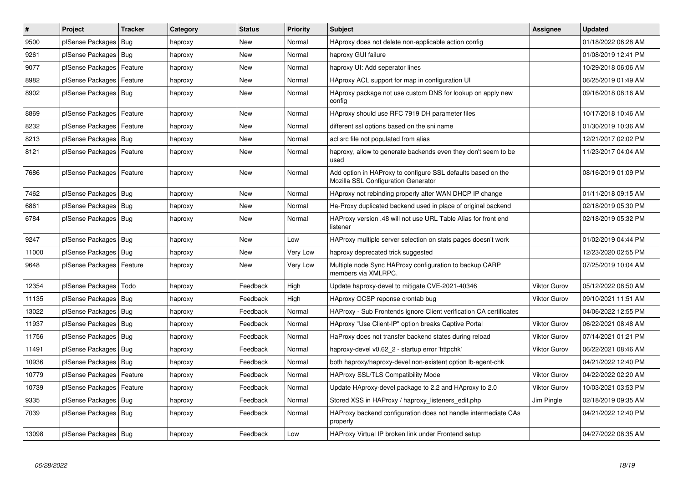| $\sharp$ | <b>Project</b>             | <b>Tracker</b> | Category | <b>Status</b> | Priority | <b>Subject</b>                                                                                      | Assignee            | <b>Updated</b>      |
|----------|----------------------------|----------------|----------|---------------|----------|-----------------------------------------------------------------------------------------------------|---------------------|---------------------|
| 9500     | pfSense Packages           | Bug            | haproxy  | <b>New</b>    | Normal   | HAproxy does not delete non-applicable action config                                                |                     | 01/18/2022 06:28 AM |
| 9261     | pfSense Packages           | Bug            | haproxy  | <b>New</b>    | Normal   | haproxy GUI failure                                                                                 |                     | 01/08/2019 12:41 PM |
| 9077     | pfSense Packages           | Feature        | haproxy  | <b>New</b>    | Normal   | haproxy UI: Add seperator lines                                                                     |                     | 10/29/2018 06:06 AM |
| 8982     | pfSense Packages           | Feature        | haproxy  | <b>New</b>    | Normal   | HAproxy ACL support for map in configuration UI                                                     |                     | 06/25/2019 01:49 AM |
| 8902     | pfSense Packages   Bug     |                | haproxy  | New           | Normal   | HAproxy package not use custom DNS for lookup on apply new<br>config                                |                     | 09/16/2018 08:16 AM |
| 8869     | pfSense Packages           | Feature        | haproxy  | <b>New</b>    | Normal   | HAproxy should use RFC 7919 DH parameter files                                                      |                     | 10/17/2018 10:46 AM |
| 8232     | pfSense Packages           | Feature        | haproxy  | <b>New</b>    | Normal   | different ssl options based on the sni name                                                         |                     | 01/30/2019 10:36 AM |
| 8213     | pfSense Packages   Bug     |                | haproxy  | <b>New</b>    | Normal   | acl src file not populated from alias                                                               |                     | 12/21/2017 02:02 PM |
| 8121     | pfSense Packages           | Feature        | haproxy  | <b>New</b>    | Normal   | haproxy, allow to generate backends even they don't seem to be<br>used                              |                     | 11/23/2017 04:04 AM |
| 7686     | pfSense Packages   Feature |                | haproxy  | <b>New</b>    | Normal   | Add option in HAProxy to configure SSL defaults based on the<br>Mozilla SSL Configuration Generator |                     | 08/16/2019 01:09 PM |
| 7462     | pfSense Packages   Bug     |                | haproxy  | <b>New</b>    | Normal   | HAproxy not rebinding properly after WAN DHCP IP change                                             |                     | 01/11/2018 09:15 AM |
| 6861     | pfSense Packages   Bug     |                | haproxy  | <b>New</b>    | Normal   | Ha-Proxy duplicated backend used in place of original backend                                       |                     | 02/18/2019 05:30 PM |
| 6784     | pfSense Packages   Bug     |                | haproxy  | New           | Normal   | HAProxy version .48 will not use URL Table Alias for front end<br>listener                          |                     | 02/18/2019 05:32 PM |
| 9247     | pfSense Packages   Bug     |                | haproxy  | <b>New</b>    | Low      | HAProxy multiple server selection on stats pages doesn't work                                       |                     | 01/02/2019 04:44 PM |
| 11000    | pfSense Packages           | Bug            | haproxy  | New           | Very Low | haproxy deprecated trick suggested                                                                  |                     | 12/23/2020 02:55 PM |
| 9648     | pfSense Packages           | Feature        | haproxy  | <b>New</b>    | Very Low | Multiple node Sync HAProxy configuration to backup CARP<br>members via XMLRPC.                      |                     | 07/25/2019 10:04 AM |
| 12354    | pfSense Packages           | Todo           | haproxy  | Feedback      | High     | Update haproxy-devel to mitigate CVE-2021-40346                                                     | <b>Viktor Gurov</b> | 05/12/2022 08:50 AM |
| 11135    | pfSense Packages           | Bug            | haproxy  | Feedback      | High     | HAproxy OCSP reponse crontab bug                                                                    | <b>Viktor Gurov</b> | 09/10/2021 11:51 AM |
| 13022    | pfSense Packages           | Bug            | haproxy  | Feedback      | Normal   | HAProxy - Sub Frontends ignore Client verification CA certificates                                  |                     | 04/06/2022 12:55 PM |
| 11937    | pfSense Packages   Bug     |                | haproxy  | Feedback      | Normal   | HAproxy "Use Client-IP" option breaks Captive Portal                                                | <b>Viktor Gurov</b> | 06/22/2021 08:48 AM |
| 11756    | pfSense Packages           | Bug            | haproxy  | Feedback      | Normal   | HaProxy does not transfer backend states during reload                                              | <b>Viktor Gurov</b> | 07/14/2021 01:21 PM |
| 11491    | pfSense Packages           | Bug            | haproxy  | Feedback      | Normal   | haproxy-devel v0.62 2 - startup error 'httpchk'                                                     | <b>Viktor Gurov</b> | 06/22/2021 08:46 AM |
| 10936    | pfSense Packages   Bug     |                | haproxy  | Feedback      | Normal   | both haproxy/haproxy-devel non-existent option lb-agent-chk                                         |                     | 04/21/2022 12:40 PM |
| 10779    | pfSense Packages   Feature |                | haproxy  | Feedback      | Normal   | <b>HAProxy SSL/TLS Compatibility Mode</b>                                                           | <b>Viktor Gurov</b> | 04/22/2022 02:20 AM |
| 10739    | pfSense Packages           | Feature        | haproxy  | Feedback      | Normal   | Update HAproxy-devel package to 2.2 and HAproxy to 2.0                                              | <b>Viktor Gurov</b> | 10/03/2021 03:53 PM |
| 9335     | pfSense Packages           | Bug            | haproxy  | Feedback      | Normal   | Stored XSS in HAProxy / haproxy_listeners_edit.php                                                  | Jim Pingle          | 02/18/2019 09:35 AM |
| 7039     | pfSense Packages   Bug     |                | haproxy  | Feedback      | Normal   | HAProxy backend configuration does not handle intermediate CAs<br>properly                          |                     | 04/21/2022 12:40 PM |
| 13098    | pfSense Packages   Bug     |                | haproxy  | Feedback      | Low      | HAProxy Virtual IP broken link under Frontend setup                                                 |                     | 04/27/2022 08:35 AM |